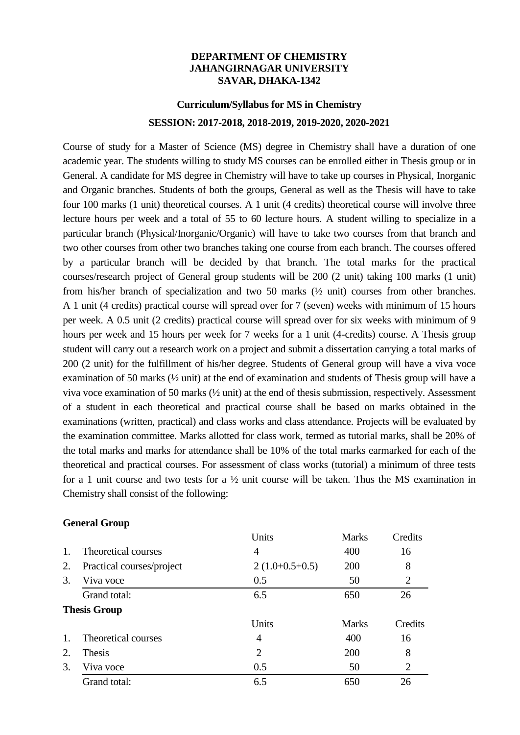#### **DEPARTMENT OF CHEMISTRY JAHANGIRNAGAR UNIVERSITY SAVAR, DHAKA-1342**

# **Curriculum/Syllabus for MS in Chemistry SESSION: 2017-2018, 2018-2019, 2019-2020, 2020-2021**

Course of study for a Master of Science (MS) degree in Chemistry shall have a duration of one academic year. The students willing to study MS courses can be enrolled either in Thesis group or in General. A candidate for MS degree in Chemistry will have to take up courses in Physical, Inorganic and Organic branches. Students of both the groups, General as well as the Thesis will have to take four 100 marks (1 unit) theoretical courses. A 1 unit (4 credits) theoretical course will involve three lecture hours per week and a total of 55 to 60 lecture hours. A student willing to specialize in a particular branch (Physical/Inorganic/Organic) will have to take two courses from that branch and two other courses from other two branches taking one course from each branch. The courses offered by a particular branch will be decided by that branch. The total marks for the practical courses/research project of General group students will be 200 (2 unit) taking 100 marks (1 unit) from his/her branch of specialization and two 50 marks (½ unit) courses from other branches. A 1 unit (4 credits) practical course will spread over for 7 (seven) weeks with minimum of 15 hours per week. A 0.5 unit (2 credits) practical course will spread over for six weeks with minimum of 9 hours per week and 15 hours per week for 7 weeks for a 1 unit (4-credits) course. A Thesis group student will carry out a research work on a project and submit a dissertation carrying a total marks of 200 (2 unit) for the fulfillment of his/her degree. Students of General group will have a viva voce examination of 50 marks (½ unit) at the end of examination and students of Thesis group will have a viva voce examination of 50 marks (½ unit) at the end of thesis submission, respectively. Assessment of a student in each theoretical and practical course shall be based on marks obtained in the examinations (written, practical) and class works and class attendance. Projects will be evaluated by the examination committee. Marks allotted for class work, termed as tutorial marks, shall be 20% of the total marks and marks for attendance shall be 10% of the total marks earmarked for each of the theoretical and practical courses. For assessment of class works (tutorial) a minimum of three tests for a 1 unit course and two tests for a  $\frac{1}{2}$  unit course will be taken. Thus the MS examination in Chemistry shall consist of the following:

#### **General Group**

|                     |                           | Units            | <b>Marks</b> | Credits        |
|---------------------|---------------------------|------------------|--------------|----------------|
| $\mathbf{1}$ .      | Theoretical courses       | 4                | 400          | 16             |
| 2.                  | Practical courses/project | $2(1.0+0.5+0.5)$ | 200          | 8              |
| 3.                  | Viva voce                 | 0.5              | 50           | $\overline{2}$ |
|                     | Grand total:              | 6.5              | 650          | 26             |
| <b>Thesis Group</b> |                           |                  |              |                |
|                     |                           | Units            | <b>Marks</b> | Credits        |
| $\mathbf{1}$ .      | Theoretical courses       | 4                | 400          | 16             |
| 2.                  | Thesis                    | 2                | 200          | 8              |
| 3.                  | Viva voce                 | 0.5              | 50           | $\overline{2}$ |
|                     | Grand total:              | 6.5              | 650          | 26             |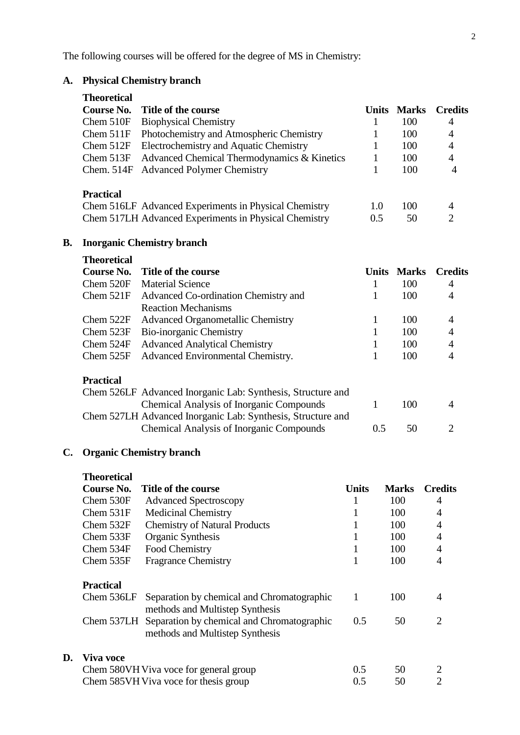The following courses will be offered for the degree of MS in Chemistry:

# **A. Physical Chemistry branch**

|    | Theoretical                             |                                                       |       |              |                |
|----|-----------------------------------------|-------------------------------------------------------|-------|--------------|----------------|
|    | Course No.                              | Title of the course                                   | Units | <b>Marks</b> | <b>Credits</b> |
|    | Chem $510F$                             | <b>Biophysical Chemistry</b>                          |       | 100          | 4              |
|    | Chem $511F$                             | Photochemistry and Atmospheric Chemistry              |       | 100          | 4              |
|    | Chem 512F                               | Electrochemistry and Aquatic Chemistry                |       | 100          | 4              |
|    | Chem 513F                               | Advanced Chemical Thermodynamics & Kinetics           | 1     | 100          | 4              |
|    | Chem. $514F$                            | <b>Advanced Polymer Chemistry</b>                     |       | 100          | $\overline{4}$ |
|    | <b>Practical</b>                        |                                                       |       |              |                |
|    |                                         | Chem 516LF Advanced Experiments in Physical Chemistry | 1.0   | 100          | 4              |
|    |                                         | Chem 517LH Advanced Experiments in Physical Chemistry | 0.5   | 50           | $\mathcal{D}$  |
| В. |                                         | <b>Inorganic Chemistry branch</b>                     |       |              |                |
|    | <b>Theoretical</b><br><b>Course No.</b> | Title of the course                                   | Units | <b>Marks</b> | Credits        |

| COUFSE IND.      | <b>THE OF THE COULSE</b>                                    | UNIUS | <b>NIAFKS</b> | <b>Ureans</b> |
|------------------|-------------------------------------------------------------|-------|---------------|---------------|
| Chem 520F        | <b>Material Science</b>                                     |       | 100           | 4             |
| Chem $521F$      | Advanced Co-ordination Chemistry and                        |       | 100           | 4             |
|                  | <b>Reaction Mechanisms</b>                                  |       |               |               |
| Chem 522F        | <b>Advanced Organometallic Chemistry</b>                    |       | 100           | 4             |
| Chem $523F$      | Bio-inorganic Chemistry                                     |       | 100           | 4             |
| Chem 524F        | <b>Advanced Analytical Chemistry</b>                        |       | 100           | 4             |
| Chem 525F        | Advanced Environmental Chemistry.                           |       | 100           |               |
| <b>Practical</b> |                                                             |       |               |               |
|                  | Chem 526LF Advanced Inorganic Lab: Synthesis, Structure and |       |               |               |
|                  | <b>Chemical Analysis of Inorganic Compounds</b>             |       | 100           |               |
|                  | Chem 527LH Advanced Inorganic Lab: Synthesis, Structure and |       |               |               |
|                  | <b>Chemical Analysis of Inorganic Compounds</b>             | 0.5   | 50            | 2             |

# **C. Organic Chemistry branch**

|    | <b>Theoretical</b>                    |                                                                                          |              |              |                             |
|----|---------------------------------------|------------------------------------------------------------------------------------------|--------------|--------------|-----------------------------|
|    | Course No.                            | Title of the course                                                                      | <b>Units</b> | <b>Marks</b> | <b>Credits</b>              |
|    | Chem 530F                             | <b>Advanced Spectroscopy</b>                                                             |              | 100          | 4                           |
|    | Chem $531F$                           | <b>Medicinal Chemistry</b>                                                               |              | 100          | $\overline{4}$              |
|    | Chem 532F                             | <b>Chemistry of Natural Products</b>                                                     |              | 100          | $\overline{4}$              |
|    | Chem 533F                             | Organic Synthesis                                                                        |              | 100          | $\overline{4}$              |
|    | Chem 534F                             | Food Chemistry                                                                           |              | 100          | $\overline{4}$              |
|    | Chem 535F                             | <b>Fragrance Chemistry</b>                                                               |              | 100          | 4                           |
|    | <b>Practical</b>                      |                                                                                          |              |              |                             |
|    | Chem 536LF                            | Separation by chemical and Chromatographic<br>methods and Multistep Synthesis            | 1            | 100          | 4                           |
|    |                                       | Chem 537LH Separation by chemical and Chromatographic<br>methods and Multistep Synthesis | 0.5          | 50           | $\mathcal{D}_{\mathcal{L}}$ |
| D. | Viva voce                             |                                                                                          |              |              |                             |
|    |                                       | Chem 580VH Viva voce for general group                                                   | 0.5          | 50           | 2                           |
|    | Chem 585VH Viva voce for thesis group |                                                                                          |              | 50           | 2                           |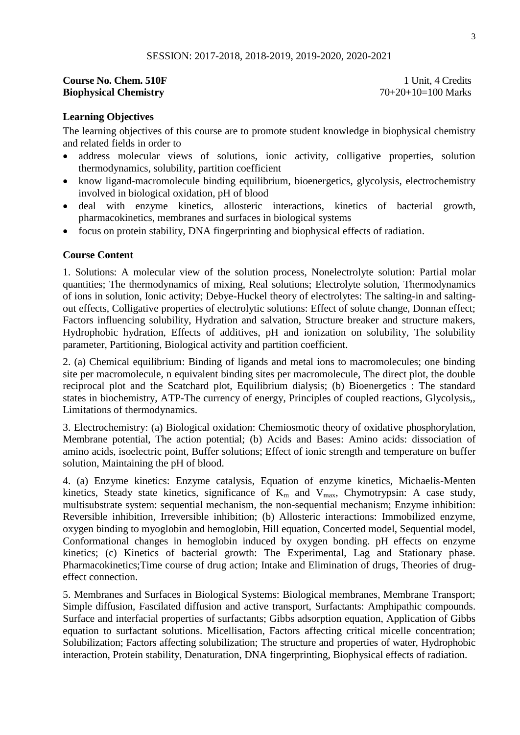#### **Course No. Chem. 510F 1 Unit, 4 Credits Biophysical Chemistry** 70+20+10=100 Marks

#### **Learning Objectives**

The learning objectives of this course are to promote student knowledge in biophysical chemistry and related fields in order to

- address molecular views of solutions, ionic activity, colligative properties, solution thermodynamics, solubility, partition coefficient
- know ligand-macromolecule binding equilibrium, bioenergetics, glycolysis, electrochemistry involved in biological oxidation, pH of blood
- deal with enzyme kinetics, allosteric interactions, kinetics of bacterial growth, pharmacokinetics, membranes and surfaces in biological systems
- focus on protein stability, DNA fingerprinting and biophysical effects of radiation.

#### **Course Content**

1. Solutions: A molecular view of the solution process, Nonelectrolyte solution: Partial molar quantities; The thermodynamics of mixing, Real solutions; Electrolyte solution, Thermodynamics of ions in solution, Ionic activity; Debye-Huckel theory of electrolytes: The salting-in and saltingout effects, Colligative properties of electrolytic solutions: Effect of solute change, Donnan effect; Factors influencing solubility, Hydration and salvation, Structure breaker and structure makers, Hydrophobic hydration, Effects of additives, pH and ionization on solubility, The solubility parameter, Partitioning, Biological activity and partition coefficient.

2. (a) Chemical equilibrium: Binding of ligands and metal ions to macromolecules; one binding site per macromolecule, n equivalent binding sites per macromolecule, The direct plot, the double reciprocal plot and the Scatchard plot, Equilibrium dialysis; (b) Bioenergetics : The standard states in biochemistry, ATP-The currency of energy, Principles of coupled reactions, Glycolysis,, Limitations of thermodynamics.

3. Electrochemistry: (a) Biological oxidation: Chemiosmotic theory of oxidative phosphorylation, Membrane potential, The action potential; (b) Acids and Bases: Amino acids: dissociation of amino acids, isoelectric point, Buffer solutions; Effect of ionic strength and temperature on buffer solution, Maintaining the pH of blood.

4. (a) Enzyme kinetics: Enzyme catalysis, Equation of enzyme kinetics, Michaelis-Menten kinetics, Steady state kinetics, significance of  $K_m$  and  $V_{max}$ , Chymotrypsin: A case study, multisubstrate system: sequential mechanism, the non-sequential mechanism; Enzyme inhibition: Reversible inhibition, Irreversible inhibition; (b) Allosteric interactions: Immobilized enzyme, oxygen binding to myoglobin and hemoglobin, Hill equation, Concerted model, Sequential model, Conformational changes in hemoglobin induced by oxygen bonding. pH effects on enzyme kinetics; (c) Kinetics of bacterial growth: The Experimental, Lag and Stationary phase. Pharmacokinetics;Time course of drug action; Intake and Elimination of drugs, Theories of drugeffect connection.

5. Membranes and Surfaces in Biological Systems: Biological membranes, Membrane Transport; Simple diffusion, Fascilated diffusion and active transport, Surfactants: Amphipathic compounds. Surface and interfacial properties of surfactants; Gibbs adsorption equation, Application of Gibbs equation to surfactant solutions. Micellisation, Factors affecting critical micelle concentration; Solubilization; Factors affecting solubilization; The structure and properties of water, Hydrophobic interaction, Protein stability, Denaturation, DNA fingerprinting, Biophysical effects of radiation.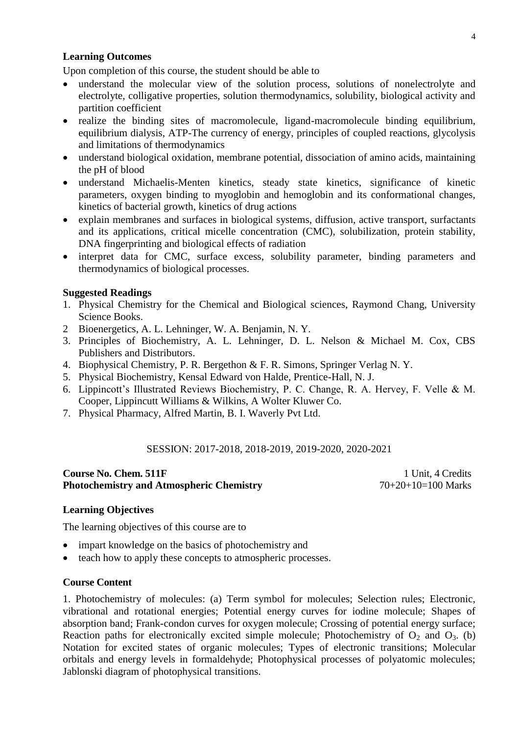## **Learning Outcomes**

Upon completion of this course, the student should be able to

- understand the molecular view of the solution process, solutions of nonelectrolyte and electrolyte, colligative properties, solution thermodynamics, solubility, biological activity and partition coefficient
- realize the binding sites of macromolecule, ligand-macromolecule binding equilibrium, equilibrium dialysis, ATP-The currency of energy, principles of coupled reactions, glycolysis and limitations of thermodynamics
- understand biological oxidation, membrane potential, dissociation of amino acids, maintaining the pH of blood
- understand Michaelis-Menten kinetics, steady state kinetics, significance of kinetic parameters, oxygen binding to myoglobin and hemoglobin and its conformational changes, kinetics of bacterial growth, kinetics of drug actions
- explain membranes and surfaces in biological systems, diffusion, active transport, surfactants and its applications, critical micelle concentration (CMC), solubilization, protein stability, DNA fingerprinting and biological effects of radiation
- interpret data for CMC, surface excess, solubility parameter, binding parameters and thermodynamics of biological processes.

#### **Suggested Readings**

- 1. Physical Chemistry for the Chemical and Biological sciences, Raymond Chang, University Science Books.
- 2 Bioenergetics, A. L. Lehninger, W. A. Benjamin, N. Y.
- 3. Principles of Biochemistry, A. L. Lehninger, D. L. Nelson & Michael M. Cox, CBS Publishers and Distributors.
- 4. Biophysical Chemistry, P. R. Bergethon & F. R. Simons, Springer Verlag N. Y.
- 5. Physical Biochemistry, Kensal Edward von Halde, Prentice-Hall, N. J.
- 6. Lippincott"s Illustrated Reviews Biochemistry, P. C. Change, R. A. Hervey, F. Velle & M. Cooper, Lippincutt Williams & Wilkins, A Wolter Kluwer Co.
- 7. Physical Pharmacy, Alfred Martin, B. I. Waverly Pvt Ltd.

#### SESSION: 2017-2018, 2018-2019, 2019-2020, 2020-2021

#### **Course No. Chem. 511F 1 Unit, 4 Credits Photochemistry and Atmospheric Chemistry** 70+20+10=100 Marks

#### **Learning Objectives**

The learning objectives of this course are to

- impart knowledge on the basics of photochemistry and
- teach how to apply these concepts to atmospheric processes.

#### **Course Content**

1. Photochemistry of molecules: (a) Term symbol for molecules; Selection rules; Electronic, vibrational and rotational energies; Potential energy curves for iodine molecule; Shapes of absorption band; Frank-condon curves for oxygen molecule; Crossing of potential energy surface; Reaction paths for electronically excited simple molecule; Photochemistry of  $O_2$  and  $O_3$ . (b) Notation for excited states of organic molecules; Types of electronic transitions; Molecular orbitals and energy levels in formaldehyde; Photophysical processes of polyatomic molecules; Jablonski diagram of photophysical transitions.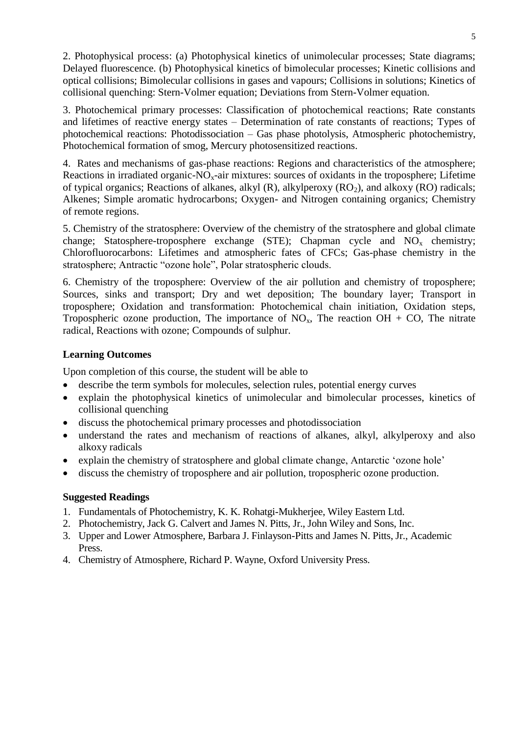2. Photophysical process: (a) Photophysical kinetics of unimolecular processes; State diagrams; Delayed fluorescence. (b) Photophysical kinetics of bimolecular processes; Kinetic collisions and optical collisions; Bimolecular collisions in gases and vapours; Collisions in solutions; Kinetics of collisional quenching: Stern-Volmer equation; Deviations from Stern-Volmer equation.

3. Photochemical primary processes: Classification of photochemical reactions; Rate constants and lifetimes of reactive energy states – Determination of rate constants of reactions; Types of photochemical reactions: Photodissociation – Gas phase photolysis, Atmospheric photochemistry, Photochemical formation of smog, Mercury photosensitized reactions.

4. Rates and mechanisms of gas-phase reactions: Regions and characteristics of the atmosphere; Reactions in irradiated organic- $NO<sub>x</sub>$ -air mixtures: sources of oxidants in the troposphere; Lifetime of typical organics; Reactions of alkanes, alkyl  $(R)$ , alkylperoxy  $(RO<sub>2</sub>)$ , and alkoxy  $(RO)$  radicals; Alkenes; Simple aromatic hydrocarbons; Oxygen- and Nitrogen containing organics; Chemistry of remote regions.

5. Chemistry of the stratosphere: Overview of the chemistry of the stratosphere and global climate change; Statosphere-troposphere exchange (STE); Chapman cycle and  $NO<sub>x</sub>$  chemistry; Chlorofluorocarbons: Lifetimes and atmospheric fates of CFCs; Gas-phase chemistry in the stratosphere; Antractic "ozone hole", Polar stratospheric clouds.

6. Chemistry of the troposphere: Overview of the air pollution and chemistry of troposphere; Sources, sinks and transport; Dry and wet deposition; The boundary layer; Transport in troposphere; Oxidation and transformation: Photochemical chain initiation, Oxidation steps, Tropospheric ozone production, The importance of  $NO_x$ , The reaction  $OH + CO$ , The nitrate radical, Reactions with ozone; Compounds of sulphur.

## **Learning Outcomes**

Upon completion of this course, the student will be able to

- describe the term symbols for molecules, selection rules, potential energy curves
- explain the photophysical kinetics of unimolecular and bimolecular processes, kinetics of collisional quenching
- discuss the photochemical primary processes and photodissociation
- understand the rates and mechanism of reactions of alkanes, alkyl, alkylperoxy and also alkoxy radicals
- explain the chemistry of stratosphere and global climate change, Antarctic "ozone hole"
- discuss the chemistry of troposphere and air pollution, tropospheric ozone production.

- 1. Fundamentals of Photochemistry, K. K. Rohatgi-Mukherjee, Wiley Eastern Ltd.
- 2. Photochemistry, Jack G. Calvert and James N. Pitts, Jr., John Wiley and Sons, Inc.
- 3. Upper and Lower Atmosphere, Barbara J. Finlayson-Pitts and James N. Pitts, Jr., Academic Press.
- 4. Chemistry of Atmosphere, Richard P. Wayne, Oxford University Press.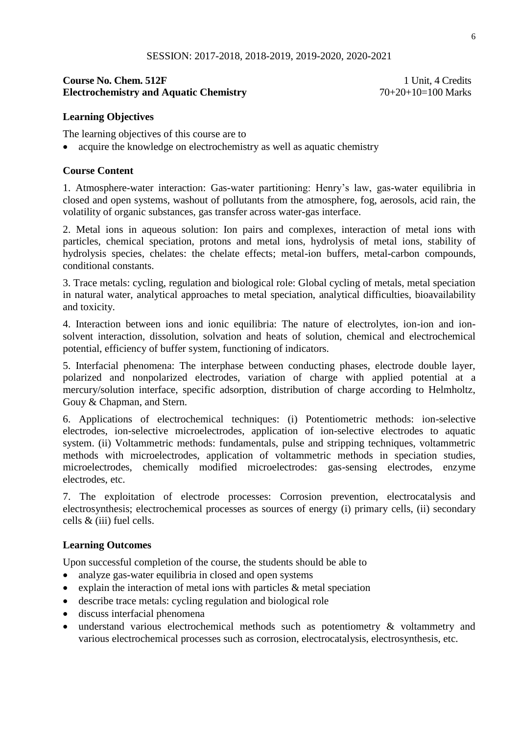# **Course No. Chem. 512F** 1 Unit, 4 Credits Electrochemistry and Aquatic Chemistry 70+20+10=100 Marks

# **Learning Objectives**

The learning objectives of this course are to

• acquire the knowledge on electrochemistry as well as aquatic chemistry

#### **Course Content**

1. Atmosphere-water interaction: Gas-water partitioning: Henry"s law, gas-water equilibria in closed and open systems, washout of pollutants from the atmosphere, fog, aerosols, acid rain, the volatility of organic substances, gas transfer across water-gas interface.

2. Metal ions in aqueous solution: Ion pairs and complexes, interaction of metal ions with particles, chemical speciation, protons and metal ions, hydrolysis of metal ions, stability of hydrolysis species, chelates: the chelate effects; metal-ion buffers, metal-carbon compounds, conditional constants.

3. Trace metals: cycling, regulation and biological role: Global cycling of metals, metal speciation in natural water, analytical approaches to metal speciation, analytical difficulties, bioavailability and toxicity.

4. Interaction between ions and ionic equilibria: The nature of electrolytes, ion-ion and ionsolvent interaction, dissolution, solvation and heats of solution, chemical and electrochemical potential, efficiency of buffer system, functioning of indicators.

5. Interfacial phenomena: The interphase between conducting phases, electrode double layer, polarized and nonpolarized electrodes, variation of charge with applied potential at a mercury/solution interface, specific adsorption, distribution of charge according to Helmholtz, Gouy & Chapman, and Stern.

6. Applications of electrochemical techniques: (i) Potentiometric methods: ion-selective electrodes, ion-selective microelectrodes, application of ion-selective electrodes to aquatic system. (ii) Voltammetric methods: fundamentals, pulse and stripping techniques, voltammetric methods with microelectrodes, application of voltammetric methods in speciation studies, microelectrodes, chemically modified microelectrodes: gas-sensing electrodes, enzyme electrodes, etc.

7. The exploitation of electrode processes: Corrosion prevention, electrocatalysis and electrosynthesis; electrochemical processes as sources of energy (i) primary cells, (ii) secondary cells & (iii) fuel cells.

#### **Learning Outcomes**

Upon successful completion of the course, the students should be able to

- analyze gas-water equilibria in closed and open systems
- explain the interaction of metal ions with particles  $\&$  metal speciation
- describe trace metals: cycling regulation and biological role
- discuss interfacial phenomena
- understand various electrochemical methods such as potentiometry & voltammetry and various electrochemical processes such as corrosion, electrocatalysis, electrosynthesis, etc.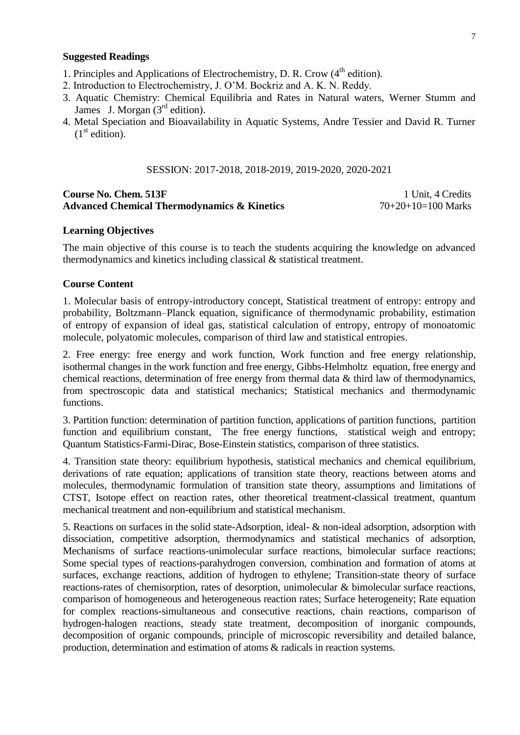#### **Suggested Readings**

- 1. Principles and Applications of Electrochemistry, D. R. Crow (4<sup>th</sup> edition).
- 2. Introduction to Electrochemistry, J. O"M. Bockriz and A. K. N. Reddy.
- 3. Aquatic Chemistry: Chemical Equilibria and Rates in Natural waters, Werner Stumm and James J. Morgan  $(3<sup>rd</sup>$  edition).
- 4. Metal Speciation and Bioavailability in Aquatic Systems, Andre Tessier and David R. Turner  $(1<sup>st</sup> edition).$

#### SESSION: 2017-2018, 2018-2019, 2019-2020, 2020-2021

#### **Course No. Chem. 513F** 1 Unit, 4 Credits **Advanced Chemical Thermodynamics & Kinetics** 70+20+10=100 Marks

#### **Learning Objectives**

The main objective of this course is to teach the students acquiring the knowledge on advanced thermodynamics and kinetics including classical & statistical treatment.

#### **Course Content**

1. Molecular basis of entropy-introductory concept, Statistical treatment of entropy: entropy and probability, Boltzmann–Planck equation, significance of thermodynamic probability, estimation of entropy of expansion of ideal gas, statistical calculation of entropy, entropy of monoatomic molecule, polyatomic molecules, comparison of third law and statistical entropies.

2. Free energy: free energy and work function, Work function and free energy relationship, isothermal changes in the work function and free energy, Gibbs-Helmholtz equation, free energy and chemical reactions, determination of free energy from thermal data & third law of thermodynamics, from spectroscopic data and statistical mechanics; Statistical mechanics and thermodynamic functions.

3. Partition function: determination of partition function, applications of partition functions, partition function and equilibrium constant, The free energy functions, statistical weigh and entropy; Quantum Statistics-Farmi-Dirac, Bose-Einstein statistics, comparison of three statistics.

4. Transition state theory: equilibrium hypothesis, statistical mechanics and chemical equilibrium, derivations of rate equation; applications of transition state theory, reactions between atoms and molecules, thermodynamic formulation of transition state theory, assumptions and limitations of CTST, Isotope effect on reaction rates, other theoretical treatment-classical treatment, quantum mechanical treatment and non-equilibrium and statistical mechanism.

5. Reactions on surfaces in the solid state-Adsorption, ideal- & non-ideal adsorption, adsorption with dissociation, competitive adsorption, thermodynamics and statistical mechanics of adsorption, Mechanisms of surface reactions-unimolecular surface reactions, bimolecular surface reactions; Some special types of reactions-parahydrogen conversion, combination and formation of atoms at surfaces, exchange reactions, addition of hydrogen to ethylene; Transition-state theory of surface reactions-rates of chemisorption, rates of desorption, unimolecular & bimolecular surface reactions, comparison of homogeneous and heterogeneous reaction rates; Surface heterogeneity; Rate equation for complex reactions-simultaneous and consecutive reactions, chain reactions, comparison of hydrogen-halogen reactions, steady state treatment, decomposition of inorganic compounds, decomposition of organic compounds, principle of microscopic reversibility and detailed balance, production, determination and estimation of atoms & radicals in reaction systems.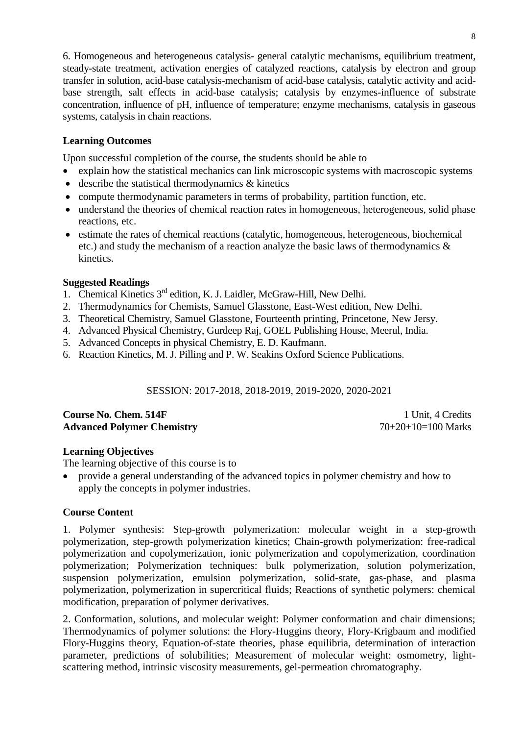6. Homogeneous and heterogeneous catalysis- general catalytic mechanisms, equilibrium treatment, steady-state treatment, activation energies of catalyzed reactions, catalysis by electron and group transfer in solution, acid-base catalysis-mechanism of acid-base catalysis, catalytic activity and acidbase strength, salt effects in acid-base catalysis; catalysis by enzymes-influence of substrate concentration, influence of pH, influence of temperature; enzyme mechanisms, catalysis in gaseous systems, catalysis in chain reactions.

# **Learning Outcomes**

Upon successful completion of the course, the students should be able to

- explain how the statistical mechanics can link microscopic systems with macroscopic systems
- describe the statistical thermodynamics & kinetics
- compute thermodynamic parameters in terms of probability, partition function, etc.
- understand the theories of chemical reaction rates in homogeneous, heterogeneous, solid phase reactions, etc.
- estimate the rates of chemical reactions (catalytic, homogeneous, heterogeneous, biochemical etc.) and study the mechanism of a reaction analyze the basic laws of thermodynamics & kinetics.

# **Suggested Readings**

- 1. Chemical Kinetics 3<sup>rd</sup> edition, K. J. Laidler, McGraw-Hill, New Delhi.
- 2. Thermodynamics for Chemists, Samuel Glasstone, East-West edition, New Delhi.
- 3. Theoretical Chemistry, Samuel Glasstone, Fourteenth printing, Princetone, New Jersy.
- 4. Advanced Physical Chemistry, Gurdeep Raj, GOEL Publishing House, Meerul, India.
- 5. Advanced Concepts in physical Chemistry, E. D. Kaufmann.
- 6. Reaction Kinetics, M. J. Pilling and P. W. Seakins Oxford Science Publications.

# SESSION: 2017-2018, 2018-2019, 2019-2020, 2020-2021

# **Course No. Chem. 514F 1 Unit, 4 Credits** Advanced Polymer Chemistry 70+20+10=100 Marks

# **Learning Objectives**

The learning objective of this course is to

 provide a general understanding of the advanced topics in polymer chemistry and how to apply the concepts in polymer industries.

# **Course Content**

1. Polymer synthesis: Step-growth polymerization: molecular weight in a step-growth polymerization, step-growth polymerization kinetics; Chain-growth polymerization: free-radical polymerization and copolymerization, ionic polymerization and copolymerization, coordination polymerization; Polymerization techniques: bulk polymerization, solution polymerization, suspension polymerization, emulsion polymerization, solid-state, gas-phase, and plasma polymerization, polymerization in supercritical fluids; Reactions of synthetic polymers: chemical modification, preparation of polymer derivatives.

2. Conformation, solutions, and molecular weight: Polymer conformation and chair dimensions; Thermodynamics of polymer solutions: the Flory-Huggins theory, Flory-Krigbaum and modified Flory-Huggins theory, Equation-of-state theories, phase equilibria, determination of interaction parameter, predictions of solubilities; Measurement of molecular weight: osmometry, lightscattering method, intrinsic viscosity measurements, gel-permeation chromatography.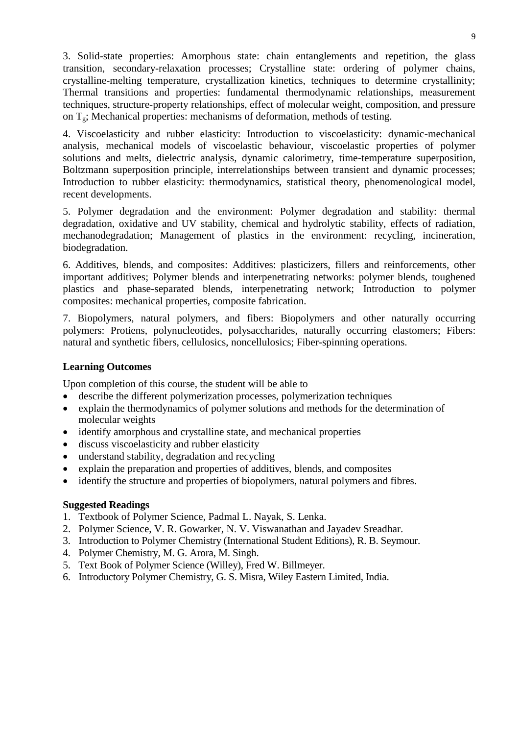3. Solid-state properties: Amorphous state: chain entanglements and repetition, the glass transition, secondary-relaxation processes; Crystalline state: ordering of polymer chains, crystalline-melting temperature, crystallization kinetics, techniques to determine crystallinity; Thermal transitions and properties: fundamental thermodynamic relationships, measurement techniques, structure-property relationships, effect of molecular weight, composition, and pressure on  $T_g$ ; Mechanical properties: mechanisms of deformation, methods of testing.

4. Viscoelasticity and rubber elasticity: Introduction to viscoelasticity: dynamic-mechanical analysis, mechanical models of viscoelastic behaviour, viscoelastic properties of polymer solutions and melts, dielectric analysis, dynamic calorimetry, time-temperature superposition, Boltzmann superposition principle, interrelationships between transient and dynamic processes; Introduction to rubber elasticity: thermodynamics, statistical theory, phenomenological model, recent developments.

5. Polymer degradation and the environment: Polymer degradation and stability: thermal degradation, oxidative and UV stability, chemical and hydrolytic stability, effects of radiation, mechanodegradation; Management of plastics in the environment: recycling, incineration, biodegradation.

6. Additives, blends, and composites: Additives: plasticizers, fillers and reinforcements, other important additives; Polymer blends and interpenetrating networks: polymer blends, toughened plastics and phase-separated blends, interpenetrating network; Introduction to polymer composites: mechanical properties, composite fabrication.

7. Biopolymers, natural polymers, and fibers: Biopolymers and other naturally occurring polymers: Protiens, polynucleotides, polysaccharides, naturally occurring elastomers; Fibers: natural and synthetic fibers, cellulosics, noncellulosics; Fiber-spinning operations.

#### **Learning Outcomes**

Upon completion of this course, the student will be able to

- describe the different polymerization processes, polymerization techniques
- explain the thermodynamics of polymer solutions and methods for the determination of molecular weights
- identify amorphous and crystalline state, and mechanical properties
- discuss viscoelasticity and rubber elasticity
- understand stability, degradation and recycling
- explain the preparation and properties of additives, blends, and composites
- identify the structure and properties of biopolymers, natural polymers and fibres.

- 1. Textbook of Polymer Science, Padmal L. Nayak, S. Lenka.
- 2. Polymer Science, V. R. Gowarker, N. V. Viswanathan and Jayadev Sreadhar.
- 3. Introduction to Polymer Chemistry (International Student Editions), R. B. Seymour.
- 4. Polymer Chemistry, M. G. Arora, M. Singh.
- 5. Text Book of Polymer Science (Willey), Fred W. Billmeyer.
- 6. Introductory Polymer Chemistry, G. S. Misra, Wiley Eastern Limited, India.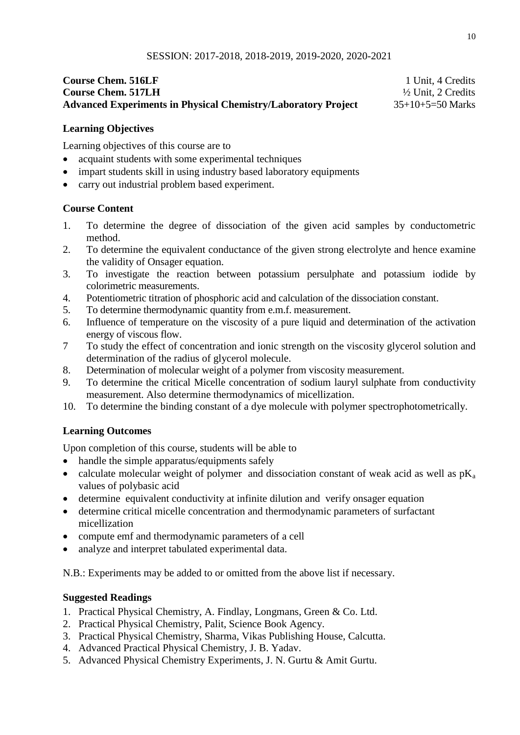# **Course Chem. 516LF** 1 Unit, 4 Credits **Course Chem. 517LH** ½ Unit, 2 Credits **Advanced Experiments in Physical Chemistry/Laboratory Project** 35+10+5=50 Marks

## **Learning Objectives**

Learning objectives of this course are to

- acquaint students with some experimental techniques
- impart students skill in using industry based laboratory equipments
- carry out industrial problem based experiment.

## **Course Content**

- 1. To determine the degree of dissociation of the given acid samples by conductometric method.
- 2. To determine the equivalent conductance of the given strong electrolyte and hence examine the validity of Onsager equation.
- 3. To investigate the reaction between potassium persulphate and potassium iodide by colorimetric measurements.
- 4. Potentiometric titration of phosphoric acid and calculation of the dissociation constant.
- 5. To determine thermodynamic quantity from e.m.f. measurement.
- 6. Influence of temperature on the viscosity of a pure liquid and determination of the activation energy of viscous flow.
- 7 To study the effect of concentration and ionic strength on the viscosity glycerol solution and determination of the radius of glycerol molecule.
- 8. Determination of molecular weight of a polymer from viscosity measurement.
- 9. To determine the critical Micelle concentration of sodium lauryl sulphate from conductivity measurement. Also determine thermodynamics of micellization.
- 10. To determine the binding constant of a dye molecule with polymer spectrophotometrically.

# **Learning Outcomes**

Upon completion of this course, students will be able to

- handle the simple apparatus/equipments safely
- calculate molecular weight of polymer and dissociation constant of weak acid as well as  $pK_a$ values of polybasic acid
- determine equivalent conductivity at infinite dilution and verify onsager equation
- determine critical micelle concentration and thermodynamic parameters of surfactant micellization
- compute emf and thermodynamic parameters of a cell
- analyze and interpret tabulated experimental data.

N.B.: Experiments may be added to or omitted from the above list if necessary.

- 1. Practical Physical Chemistry, A. Findlay, Longmans, Green & Co. Ltd.
- 2. Practical Physical Chemistry, Palit, Science Book Agency.
- 3. Practical Physical Chemistry, Sharma, Vikas Publishing House, Calcutta.
- 4. Advanced Practical Physical Chemistry, J. B. Yadav.
- 5. Advanced Physical Chemistry Experiments, J. N. Gurtu & Amit Gurtu.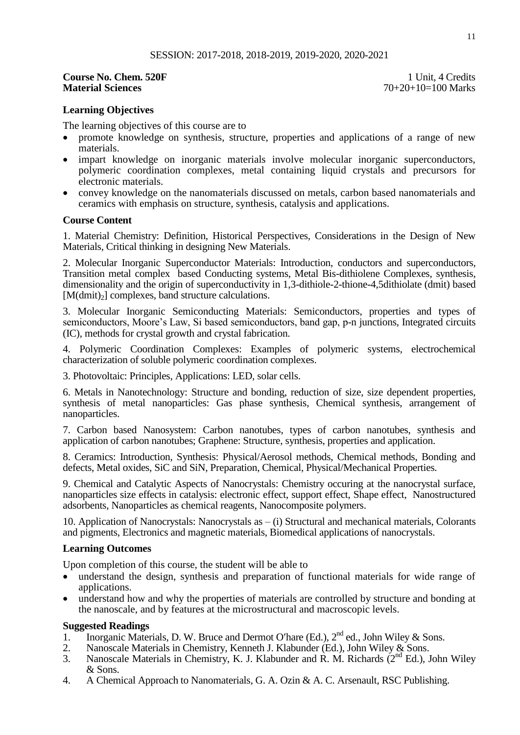# **Course No. Chem. 520F** 1 Unit, 4 Credits<br> **Material Sciences** 200F<br>
20+20+10=100 Marks

**Material Sciences** 70+20+10=100 Marks

#### **Learning Objectives**

The learning objectives of this course are to

- promote knowledge on synthesis, structure, properties and applications of a range of new materials.
- impart knowledge on inorganic materials involve molecular inorganic superconductors, polymeric coordination complexes, metal containing liquid crystals and precursors for electronic materials.
- convey knowledge on the nanomaterials discussed on metals, carbon based nanomaterials and ceramics with emphasis on structure, synthesis, catalysis and applications.

#### **Course Content**

1. Material Chemistry: Definition, Historical Perspectives, Considerations in the Design of New Materials, Critical thinking in designing New Materials.

2. Molecular Inorganic Superconductor Materials: Introduction, conductors and superconductors, Transition metal complex based Conducting systems, Metal Bis-dithiolene Complexes, synthesis, dimensionality and the origin of superconductivity in 1,3-dithiole-2-thione-4,5dithiolate (dmit) based  $[M(dmit)_2]$  complexes, band structure calculations.

3. Molecular Inorganic Semiconducting Materials: Semiconductors, properties and types of semiconductors, Moore's Law, Si based semiconductors, band gap, p-n junctions, Integrated circuits (IC), methods for crystal growth and crystal fabrication.

4. Polymeric Coordination Complexes: Examples of polymeric systems, electrochemical characterization of soluble polymeric coordination complexes.

3. Photovoltaic: Principles, Applications: LED, solar cells.

6. Metals in Nanotechnology: Structure and bonding, reduction of size, size dependent properties, synthesis of metal nanoparticles: Gas phase synthesis, Chemical synthesis, arrangement of nanoparticles.

7. Carbon based Nanosystem: Carbon nanotubes, types of carbon nanotubes, synthesis and application of carbon nanotubes; Graphene: Structure, synthesis, properties and application.

8. Ceramics: Introduction, Synthesis: Physical/Aerosol methods, Chemical methods, Bonding and defects, Metal oxides, SiC and SiN, Preparation, Chemical, Physical/Mechanical Properties.

9. Chemical and Catalytic Aspects of Nanocrystals: Chemistry occuring at the nanocrystal surface, nanoparticles size effects in catalysis: electronic effect, support effect, Shape effect, Nanostructured adsorbents, Nanoparticles as chemical reagents, Nanocomposite polymers.

10. Application of Nanocrystals: Nanocrystals as – (i) Structural and mechanical materials, Colorants and pigments, Electronics and magnetic materials, Biomedical applications of nanocrystals.

#### **Learning Outcomes**

Upon completion of this course, the student will be able to

- understand the design, synthesis and preparation of functional materials for wide range of applications.
- understand how and why the properties of materials are controlled by structure and bonding at the nanoscale, and by features at the microstructural and macroscopic levels.

- 1. Inorganic Materials, D. W. Bruce and Dermot O'hare (Ed.),  $2<sup>nd</sup>$  ed., John Wiley & Sons.
- 2. Nanoscale Materials in Chemistry, Kenneth J. Klabunder (Ed.), John Wiley & Sons.
- 3. Nanoscale Materials in Chemistry, K. J. Klabunder and R. M. Richards  $(2^{nd} Ed.)$ , John Wiley & Sons.
- 4. A Chemical Approach to Nanomaterials, G. A. Ozin & A. C. Arsenault, RSC Publishing.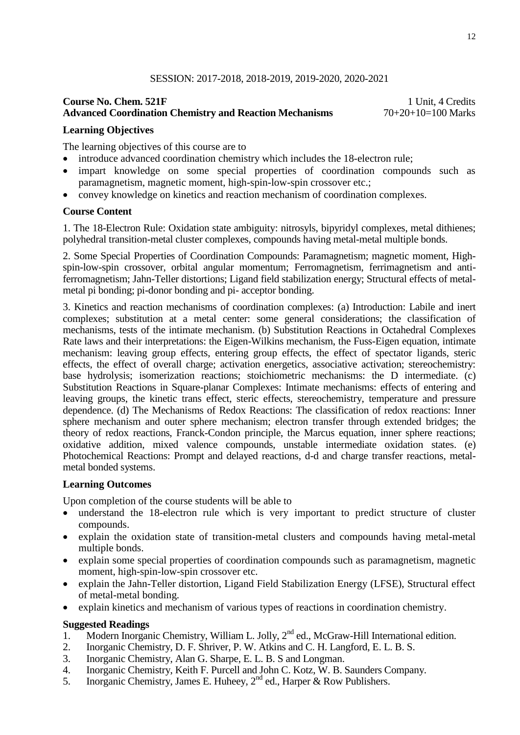#### SESSION: 2017-2018, 2018-2019, 2019-2020, 2020-2021

## **Course No. Chem. 521F** 1 Unit, 4 Credits<br> **Advanced Coordination Chemistry and Reaction Mechanisms** 70+20+10=100 Marks **Advanced Coordination Chemistry and Reaction Mechanisms**

#### **Learning Objectives**

The learning objectives of this course are to

- introduce advanced coordination chemistry which includes the 18-electron rule;
- impart knowledge on some special properties of coordination compounds such as paramagnetism, magnetic moment, high-spin-low-spin crossover etc.;
- convey knowledge on kinetics and reaction mechanism of coordination complexes.

#### **Course Content**

1. The 18-Electron Rule: Oxidation state ambiguity: nitrosyls, bipyridyl complexes, metal dithienes; polyhedral transition-metal cluster complexes, compounds having metal-metal multiple bonds.

2. Some Special Properties of Coordination Compounds: Paramagnetism; magnetic moment, Highspin-low-spin crossover, orbital angular momentum; Ferromagnetism, ferrimagnetism and antiferromagnetism; Jahn-Teller distortions; Ligand field stabilization energy; Structural effects of metalmetal pi bonding; pi-donor bonding and pi- acceptor bonding.

3. Kinetics and reaction mechanisms of coordination complexes: (a) Introduction: Labile and inert complexes; substitution at a metal center: some general considerations; the classification of mechanisms, tests of the intimate mechanism. (b) Substitution Reactions in Octahedral Complexes Rate laws and their interpretations: the Eigen-Wilkins mechanism, the Fuss-Eigen equation, intimate mechanism: leaving group effects, entering group effects, the effect of spectator ligands, steric effects, the effect of overall charge; activation energetics, associative activation; stereochemistry: base hydrolysis; isomerization reactions; stoichiometric mechanisms: the D intermediate. (c) Substitution Reactions in Square-planar Complexes: Intimate mechanisms: effects of entering and leaving groups, the kinetic trans effect, steric effects, stereochemistry, temperature and pressure dependence. (d) The Mechanisms of Redox Reactions: The classification of redox reactions: Inner sphere mechanism and outer sphere mechanism; electron transfer through extended bridges; the theory of redox reactions, Franck-Condon principle, the Marcus equation, inner sphere reactions; oxidative addition, mixed valence compounds, unstable intermediate oxidation states. (e) Photochemical Reactions: Prompt and delayed reactions, d-d and charge transfer reactions, metalmetal bonded systems.

#### **Learning Outcomes**

Upon completion of the course students will be able to

- understand the 18-electron rule which is very important to predict structure of cluster compounds.
- explain the oxidation state of transition-metal clusters and compounds having metal-metal multiple bonds.
- explain some special properties of coordination compounds such as paramagnetism, magnetic moment, high-spin-low-spin crossover etc.
- explain the Jahn-Teller distortion, Ligand Field Stabilization Energy (LFSE), Structural effect of metal-metal bonding.
- explain kinetics and mechanism of various types of reactions in coordination chemistry.

- 1. Modern Inorganic Chemistry, William L. Jolly, 2<sup>nd</sup> ed., McGraw-Hill International edition.
- 2. Inorganic Chemistry, D. F. Shriver, P. W. Atkins and C. H. Langford, E. L. B. S.
- 3. Inorganic Chemistry, Alan G. Sharpe, E. L. B. S and Longman.
- 4. Inorganic Chemistry, Keith F. Purcell and John C. Kotz, W. B. Saunders Company.
- 5. Inorganic Chemistry, James E. Huheey,  $2^{nd}$  ed., Harper & Row Publishers.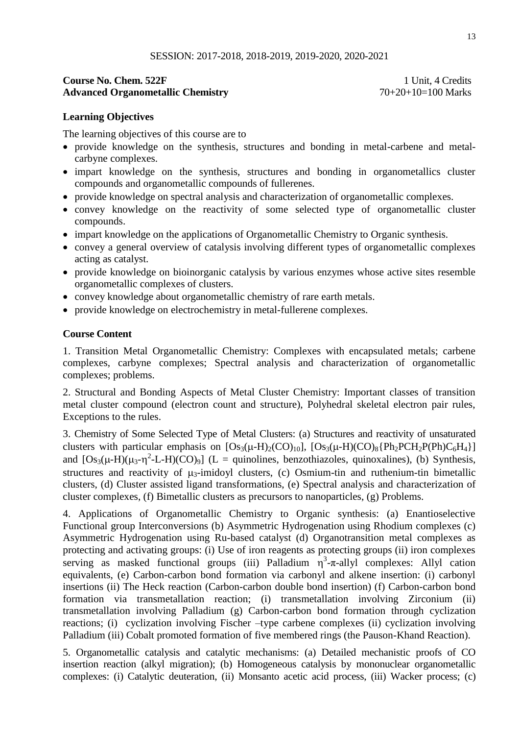## **Course No. Chem. 522F 1 Unit, 4 Credits** Advanced Organometallic Chemistry 70+20+10=100 Marks

# **Learning Objectives**

The learning objectives of this course are to

- provide knowledge on the synthesis, structures and bonding in metal-carbene and metalcarbyne complexes.
- impart knowledge on the synthesis, structures and bonding in organometallics cluster compounds and organometallic compounds of fullerenes.
- provide knowledge on spectral analysis and characterization of organometallic complexes.
- convey knowledge on the reactivity of some selected type of organometallic cluster compounds.
- impart knowledge on the applications of Organometallic Chemistry to Organic synthesis.
- convey a general overview of catalysis involving different types of organometallic complexes acting as catalyst.
- provide knowledge on bioinorganic catalysis by various enzymes whose active sites resemble organometallic complexes of clusters.
- convey knowledge about organometallic chemistry of rare earth metals.
- provide knowledge on electrochemistry in metal-fullerene complexes.

## **Course Content**

1. Transition Metal Organometallic Chemistry: Complexes with encapsulated metals; carbene complexes, carbyne complexes; Spectral analysis and characterization of organometallic complexes; problems.

2. Structural and Bonding Aspects of Metal Cluster Chemistry: Important classes of transition metal cluster compound (electron count and structure), Polyhedral skeletal electron pair rules, Exceptions to the rules.

3. Chemistry of Some Selected Type of Metal Clusters: (a) Structures and reactivity of unsaturated clusters with particular emphasis on  $[Os_3(\mu-H)_2(CO)_{10}]$ ,  $[Os_3(\mu-H)(CO)_8\{Ph_2PCH_2P(Ph)C_6H_4\}]$ and  $[Os_3(\mu-H)(\mu_3-\eta^2-L-H)(CO)_9]$  (L = quinolines, benzothiazoles, quinoxalines), (b) Synthesis, structures and reactivity of  $\mu_3$ -imidoyl clusters, (c) Osmium-tin and ruthenium-tin bimetallic clusters, (d) Cluster assisted ligand transformations, (e) Spectral analysis and characterization of cluster complexes, (f) Bimetallic clusters as precursors to nanoparticles, (g) Problems.

4. Applications of Organometallic Chemistry to Organic synthesis: (a) Enantioselective Functional group Interconversions (b) Asymmetric Hydrogenation using Rhodium complexes (c) Asymmetric Hydrogenation using Ru-based catalyst (d) Organotransition metal complexes as protecting and activating groups: (i) Use of iron reagents as protecting groups (ii) iron complexes serving as masked functional groups (iii) Palladium  $\eta^3$ - $\pi$ -allyl complexes: Allyl cation equivalents, (e) Carbon-carbon bond formation via carbonyl and alkene insertion: (i) carbonyl insertions (ii) The Heck reaction (Carbon-carbon double bond insertion) (f) Carbon-carbon bond formation via transmetallation reaction; (i) transmetallation involving Zirconium (ii) transmetallation involving Palladium (g) Carbon-carbon bond formation through cyclization reactions; (i) cyclization involving Fischer –type carbene complexes (ii) cyclization involving Palladium (iii) Cobalt promoted formation of five membered rings (the Pauson-Khand Reaction).

5. Organometallic catalysis and catalytic mechanisms: (a) Detailed mechanistic proofs of CO insertion reaction (alkyl migration); (b) Homogeneous catalysis by mononuclear organometallic complexes: (i) Catalytic deuteration, (ii) Monsanto acetic acid process, (iii) Wacker process; (c)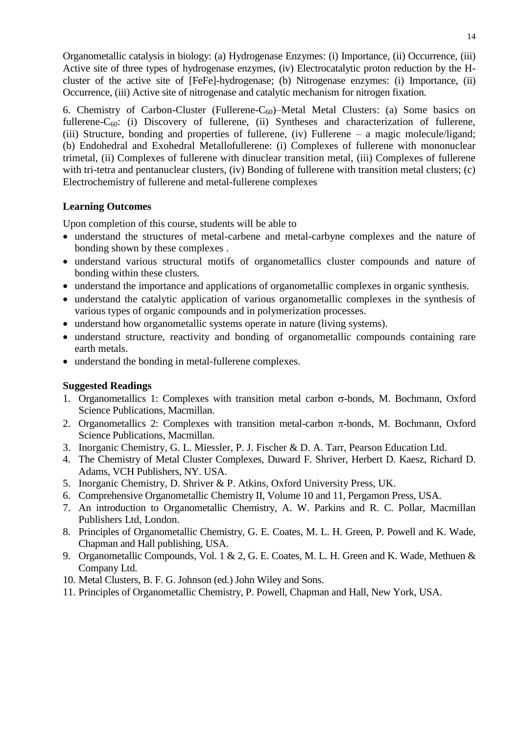Organometallic catalysis in biology: (a) Hydrogenase Enzymes: (i) Importance, (ii) Occurrence, (iii) Active site of three types of hydrogenase enzymes, (iv) Electrocatalytic proton reduction by the Hcluster of the active site of [FeFe]-hydrogenase; (b) Nitrogenase enzymes: (i) Importance, (ii) Occurrence, (iii) Active site of nitrogenase and catalytic mechanism for nitrogen fixation.

6. Chemistry of Carbon-Cluster (Fullerene- $C_{60}$ )–Metal Metal Clusters: (a) Some basics on fullerene- $C_{60}$ : (i) Discovery of fullerene, (ii) Syntheses and characterization of fullerene, (iii) Structure, bonding and properties of fullerene, (iv) Fullerene – a magic molecule/ligand; (b) Endohedral and Exohedral Metallofullerene: (i) Complexes of fullerene with mononuclear trimetal, (ii) Complexes of fullerene with dinuclear transition metal, (iii) Complexes of fullerene with tri-tetra and pentanuclear clusters, (iv) Bonding of fullerene with transition metal clusters; (c) Electrochemistry of fullerene and metal-fullerene complexes

#### **Learning Outcomes**

Upon completion of this course, students will be able to

- understand the structures of metal-carbene and metal-carbyne complexes and the nature of bonding shown by these complexes .
- understand various structural motifs of organometallics cluster compounds and nature of bonding within these clusters.
- understand the importance and applications of organometallic complexes in organic synthesis.
- understand the catalytic application of various organometallic complexes in the synthesis of various types of organic compounds and in polymerization processes.
- understand how organometallic systems operate in nature (living systems).
- understand structure, reactivity and bonding of organometallic compounds containing rare earth metals.
- understand the bonding in metal-fullerene complexes.

- 1. Organometallics 1: Complexes with transition metal carbon  $\sigma$ -bonds, M. Bochmann, Oxford Science Publications, Macmillan.
- 2. Organometallics 2: Complexes with transition metal-carbon  $\pi$ -bonds, M. Bochmann, Oxford Science Publications, Macmillan.
- 3. Inorganic Chemistry, G. L. Miessler, P. J. Fischer & D. A. Tarr, Pearson Education Ltd.
- 4. The Chemistry of Metal Cluster Complexes, Duward F. Shriver, Herbert D. Kaesz, Richard D. Adams, VCH Publishers, NY. USA.
- 5. Inorganic Chemistry, D. Shriver & P. Atkins, Oxford University Press, UK.
- 6. Comprehensive Organometallic Chemistry II, Volume 10 and 11, Pergamon Press, USA.
- 7. An introduction to Organometallic Chemistry, A. W. Parkins and R. C. Pollar, Macmillan Publishers Ltd, London.
- 8. Principles of Organometallic Chemistry, G. E. Coates, M. L. H. Green, P. Powell and K. Wade, Chapman and Hall publishing, USA.
- 9. Organometallic Compounds, Vol. 1 & 2, G. E. Coates, M. L. H. Green and K. Wade, Methuen & Company Ltd.
- 10. Metal Clusters, B. F. G. Johnson (ed.) John Wiley and Sons.
- 11. Principles of Organometallic Chemistry, P. Powell, Chapman and Hall, New York, USA.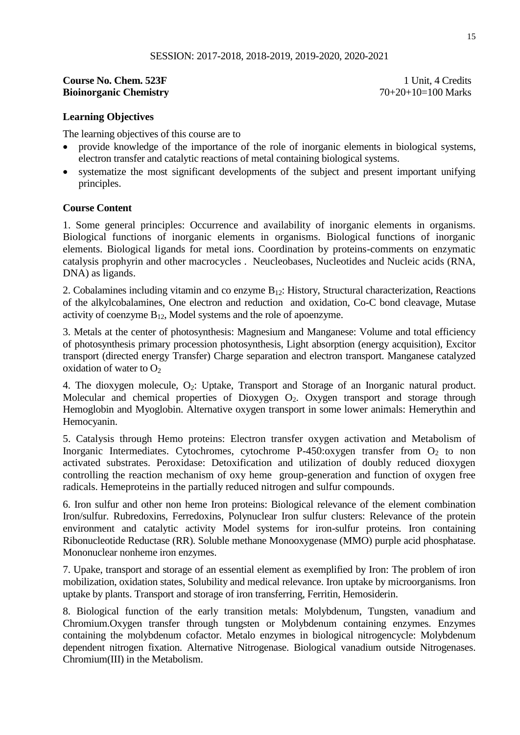#### **Course No. Chem. 523F** 1 Unit, 4 Credits **Bioinorganic Chemistry** 70+20+10=100 Marks

## **Learning Objectives**

The learning objectives of this course are to

- provide knowledge of the importance of the role of inorganic elements in biological systems, electron transfer and catalytic reactions of metal containing biological systems.
- systematize the most significant developments of the subject and present important unifying principles.

#### **Course Content**

1. Some general principles: Occurrence and availability of inorganic elements in organisms. Biological functions of inorganic elements in organisms. Biological functions of inorganic elements. Biological ligands for metal ions. Coordination by proteins-comments on enzymatic catalysis prophyrin and other macrocycles . Neucleobases, Nucleotides and Nucleic acids (RNA, DNA) as ligands.

2. Cobalamines including vitamin and co enzyme  $B_{12}$ : History, Structural characterization, Reactions of the alkylcobalamines, One electron and reduction and oxidation, Co-C bond cleavage, Mutase activity of coenzyme  $B_{12}$ , Model systems and the role of apoenzyme.

3. Metals at the center of photosynthesis: Magnesium and Manganese: Volume and total efficiency of photosynthesis primary procession photosynthesis, Light absorption (energy acquisition), Excitor transport (directed energy Transfer) Charge separation and electron transport. Manganese catalyzed oxidation of water to  $O<sub>2</sub>$ 

4. The dioxygen molecule, O<sub>2</sub>: Uptake, Transport and Storage of an Inorganic natural product. Molecular and chemical properties of Dioxygen  $O_2$ . Oxygen transport and storage through Hemoglobin and Myoglobin. Alternative oxygen transport in some lower animals: Hemerythin and Hemocyanin.

5. Catalysis through Hemo proteins: Electron transfer oxygen activation and Metabolism of Inorganic Intermediates. Cytochromes, cytochrome P-450:oxygen transfer from  $O_2$  to non activated substrates. Peroxidase: Detoxification and utilization of doubly reduced dioxygen controlling the reaction mechanism of oxy heme group-generation and function of oxygen free radicals. Hemeproteins in the partially reduced nitrogen and sulfur compounds.

6. Iron sulfur and other non heme Iron proteins: Biological relevance of the element combination Iron/sulfur. Rubredoxins, Ferredoxins, Polynuclear Iron sulfur clusters: Relevance of the protein environment and catalytic activity Model systems for iron-sulfur proteins. Iron containing Ribonucleotide Reductase (RR). Soluble methane Monooxygenase (MMO) purple acid phosphatase. Mononuclear nonheme iron enzymes.

7. Upake, transport and storage of an essential element as exemplified by Iron: The problem of iron mobilization, oxidation states, Solubility and medical relevance. Iron uptake by microorganisms. Iron uptake by plants. Transport and storage of iron transferring, Ferritin, Hemosiderin.

8. Biological function of the early transition metals: Molybdenum, Tungsten, vanadium and Chromium.Oxygen transfer through tungsten or Molybdenum containing enzymes. Enzymes containing the molybdenum cofactor. Metalo enzymes in biological nitrogencycle: Molybdenum dependent nitrogen fixation. Alternative Nitrogenase. Biological vanadium outside Nitrogenases. Chromium(III) in the Metabolism.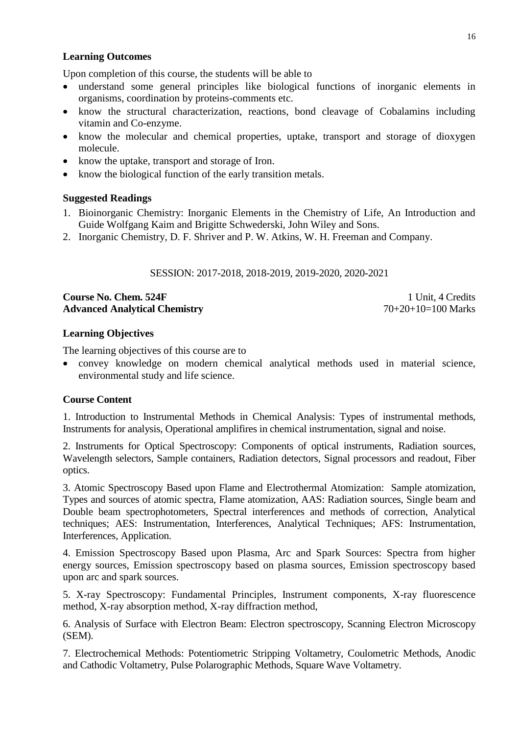## **Learning Outcomes**

Upon completion of this course, the students will be able to

- understand some general principles like biological functions of inorganic elements in organisms, coordination by proteins-comments etc.
- know the structural characterization, reactions, bond cleavage of Cobalamins including vitamin and Co-enzyme.
- know the molecular and chemical properties, uptake, transport and storage of dioxygen molecule.
- know the uptake, transport and storage of Iron.
- know the biological function of the early transition metals.

## **Suggested Readings**

- 1. Bioinorganic Chemistry: Inorganic Elements in the Chemistry of Life, An Introduction and Guide Wolfgang Kaim and Brigitte Schwederski, John Wiley and Sons.
- 2. Inorganic Chemistry, D. F. Shriver and P. W. Atkins, W. H. Freeman and Company.

## SESSION: 2017-2018, 2018-2019, 2019-2020, 2020-2021

#### **Course No. Chem. 524F** 1 Unit, 4 Credits Advanced Analytical Chemistry 70+20+10=100 Marks

## **Learning Objectives**

The learning objectives of this course are to

 convey knowledge on modern chemical analytical methods used in material science, environmental study and life science.

#### **Course Content**

1. Introduction to Instrumental Methods in Chemical Analysis: Types of instrumental methods, Instruments for analysis, Operational amplifires in chemical instrumentation, signal and noise.

2. Instruments for Optical Spectroscopy: Components of optical instruments, Radiation sources, Wavelength selectors, Sample containers, Radiation detectors, Signal processors and readout, Fiber optics.

3. Atomic Spectroscopy Based upon Flame and Electrothermal Atomization: Sample atomization, Types and sources of atomic spectra, Flame atomization, AAS: Radiation sources, Single beam and Double beam spectrophotometers, Spectral interferences and methods of correction, Analytical techniques; AES: Instrumentation, Interferences, Analytical Techniques; AFS: Instrumentation, Interferences, Application.

4. Emission Spectroscopy Based upon Plasma, Arc and Spark Sources: Spectra from higher energy sources, Emission spectroscopy based on plasma sources, Emission spectroscopy based upon arc and spark sources.

5. X-ray Spectroscopy: Fundamental Principles, Instrument components, X-ray fluorescence method, X-ray absorption method, X-ray diffraction method,

6. Analysis of Surface with Electron Beam: Electron spectroscopy, Scanning Electron Microscopy (SEM).

7. Electrochemical Methods: Potentiometric Stripping Voltametry, Coulometric Methods, Anodic and Cathodic Voltametry, Pulse Polarographic Methods, Square Wave Voltametry.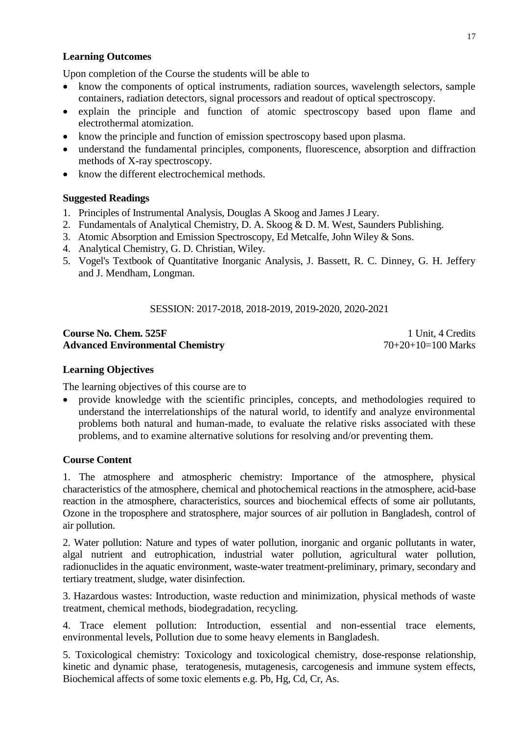## **Learning Outcomes**

Upon completion of the Course the students will be able to

- know the components of optical instruments, radiation sources, wavelength selectors, sample containers, radiation detectors, signal processors and readout of optical spectroscopy.
- explain the principle and function of atomic spectroscopy based upon flame and electrothermal atomization.
- know the principle and function of emission spectroscopy based upon plasma.
- understand the fundamental principles, components, fluorescence, absorption and diffraction methods of X-ray spectroscopy.
- know the different electrochemical methods.

#### **Suggested Readings**

- 1. Principles of Instrumental Analysis, Douglas A Skoog and James J Leary.
- 2. Fundamentals of Analytical Chemistry, D. A. Skoog & D. M. West, Saunders Publishing.
- 3. Atomic Absorption and Emission Spectroscopy, Ed Metcalfe, John Wiley & Sons.
- 4. Analytical Chemistry, G. D. Christian, Wiley.
- 5. Vogel's Textbook of Quantitative Inorganic Analysis, J. Bassett, R. C. Dinney, G. H. Jeffery and J. Mendham, Longman.

## SESSION: 2017-2018, 2018-2019, 2019-2020, 2020-2021

#### **Course No. Chem. 525F** 1 Unit, 4 Credits **Advanced Environmental Chemistry** 70+20+10=100 Marks

#### **Learning Objectives**

The learning objectives of this course are to

 provide knowledge with the scientific principles, concepts, and methodologies required to understand the interrelationships of the natural world, to identify and analyze environmental problems both natural and human-made, to evaluate the relative risks associated with these problems, and to examine alternative solutions for resolving and/or preventing them.

#### **Course Content**

1. The atmosphere and atmospheric chemistry: Importance of the atmosphere, physical characteristics of the atmosphere, chemical and photochemical reactions in the atmosphere, acid-base reaction in the atmosphere, characteristics, sources and biochemical effects of some air pollutants, Ozone in the troposphere and stratosphere, major sources of air pollution in Bangladesh, control of air pollution.

2. Water pollution: Nature and types of water pollution, inorganic and organic pollutants in water, algal nutrient and eutrophication, industrial water pollution, agricultural water pollution, radionuclides in the aquatic environment, waste-water treatment-preliminary, primary, secondary and tertiary treatment, sludge, water disinfection.

3. Hazardous wastes: Introduction, waste reduction and minimization, physical methods of waste treatment, chemical methods, biodegradation, recycling.

4. Trace element pollution: Introduction, essential and non-essential trace elements, environmental levels, Pollution due to some heavy elements in Bangladesh.

5. Toxicological chemistry: Toxicology and toxicological chemistry, dose-response relationship, kinetic and dynamic phase, teratogenesis, mutagenesis, carcogenesis and immune system effects, Biochemical affects of some toxic elements e.g. Pb, Hg, Cd, Cr, As.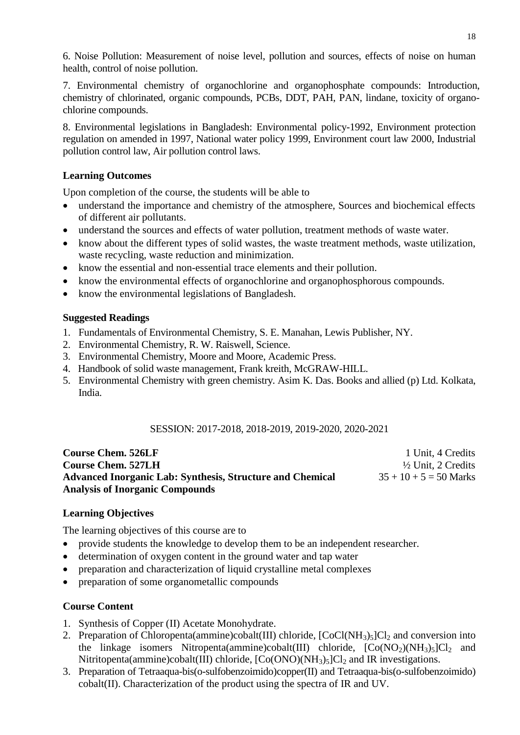6. Noise Pollution: Measurement of noise level, pollution and sources, effects of noise on human health, control of noise pollution.

7. Environmental chemistry of organochlorine and organophosphate compounds: Introduction, chemistry of chlorinated, organic compounds, PCBs, DDT, PAH, PAN, lindane, toxicity of organochlorine compounds.

8. Environmental legislations in Bangladesh: Environmental policy-1992, Environment protection regulation on amended in 1997, National water policy 1999, Environment court law 2000, Industrial pollution control law, Air pollution control laws.

# **Learning Outcomes**

Upon completion of the course, the students will be able to

- understand the importance and chemistry of the atmosphere, Sources and biochemical effects of different air pollutants.
- understand the sources and effects of water pollution, treatment methods of waste water.
- know about the different types of solid wastes, the waste treatment methods, waste utilization, waste recycling, waste reduction and minimization.
- know the essential and non-essential trace elements and their pollution.
- know the environmental effects of organochlorine and organophosphorous compounds.
- know the environmental legislations of Bangladesh.

# **Suggested Readings**

- 1. Fundamentals of Environmental Chemistry, S. E. Manahan, Lewis Publisher, NY.
- 2. Environmental Chemistry, R. W. Raiswell, Science.
- 3. Environmental Chemistry, Moore and Moore, Academic Press.
- 4. Handbook of solid waste management, Frank kreith, McGRAW-HILL.
- 5. Environmental Chemistry with green chemistry. Asim K. Das. Books and allied (p) Ltd. Kolkata, India.

# SESSION: 2017-2018, 2018-2019, 2019-2020, 2020-2021

| <b>Course Chem. 526LF</b>                                        | 1 Unit, 4 Credits             |
|------------------------------------------------------------------|-------------------------------|
| <b>Course Chem. 527LH</b>                                        | $\frac{1}{2}$ Unit, 2 Credits |
| <b>Advanced Inorganic Lab: Synthesis, Structure and Chemical</b> | $35 + 10 + 5 = 50$ Marks      |
| <b>Analysis of Inorganic Compounds</b>                           |                               |

# **Learning Objectives**

The learning objectives of this course are to

- provide students the knowledge to develop them to be an independent researcher.
- determination of oxygen content in the ground water and tap water
- preparation and characterization of liquid crystalline metal complexes
- preparation of some organometallic compounds

# **Course Content**

- 1. Synthesis of Copper (II) Acetate Monohydrate.
- 2. Preparation of Chloropenta(ammine)cobalt(III) chloride,  $[CoCl(NH<sub>3</sub>)<sub>5</sub>]Cl<sub>2</sub>$  and conversion into the linkage isomers Nitropenta(ammine)cobalt(III) chloride,  $[Co(NO<sub>2</sub>)(NH<sub>3</sub>)<sub>5</sub>]Cl<sub>2</sub>$  and Nitritopenta(ammine)cobalt(III) chloride,  $[Co(ONO)(NH<sub>3</sub>)<sub>5</sub>]Cl<sub>2</sub>$  and IR investigations.
- 3. Preparation of Tetraaqua-bis(o-sulfobenzoimido)copper(II) and Tetraaqua-bis(o-sulfobenzoimido) cobalt(II). Characterization of the product using the spectra of IR and UV.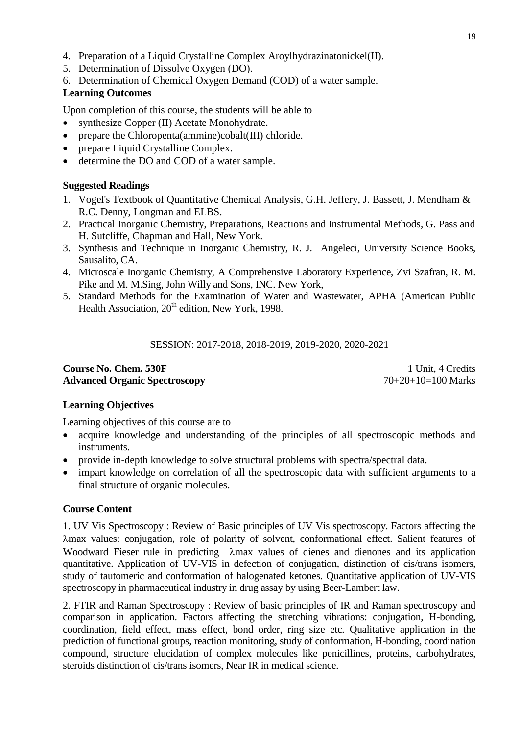- 4. Preparation of a Liquid Crystalline Complex Aroylhydrazinatonickel(II).
- 5. Determination of Dissolve Oxygen (DO).
- 6. Determination of Chemical Oxygen Demand (COD) of a water sample.

## **Learning Outcomes**

Upon completion of this course, the students will be able to

- synthesize Copper (II) Acetate Monohydrate.
- prepare the Chloropenta(ammine)cobalt(III) chloride.
- prepare Liquid Crystalline Complex.
- determine the DO and COD of a water sample.

#### **Suggested Readings**

- 1. Vogel's Textbook of Quantitative Chemical Analysis, G.H. Jeffery, J. Bassett, J. Mendham & R.C. Denny, Longman and ELBS.
- 2. Practical Inorganic Chemistry, Preparations, Reactions and Instrumental Methods, G. Pass and H. Sutcliffe, Chapman and Hall, New York.
- 3. Synthesis and Technique in Inorganic Chemistry, R. J. Angeleci, University Science Books, Sausalito, CA.
- 4. Microscale Inorganic Chemistry, A Comprehensive Laboratory Experience, Zvi Szafran, R. M. Pike and M. M.Sing, John Willy and Sons, INC. New York,
- 5. Standard Methods for the Examination of Water and Wastewater, APHA (American Public Health Association,  $20<sup>th</sup>$  edition, New York, 1998.

#### SESSION: 2017-2018, 2018-2019, 2019-2020, 2020-2021

## **Course No. Chem. 530F** 1 Unit, 4 Credits Advanced Organic Spectroscopy 70+20+10=100 Marks

# **Learning Objectives**

Learning objectives of this course are to

- acquire knowledge and understanding of the principles of all spectroscopic methods and instruments.
- provide in-depth knowledge to solve structural problems with spectra/spectral data.
- impart knowledge on correlation of all the spectroscopic data with sufficient arguments to a final structure of organic molecules.

#### **Course Content**

1. UV Vis Spectroscopy : Review of Basic principles of UV Vis spectroscopy. Factors affecting the max values: conjugation, role of polarity of solvent, conformational effect. Salient features of Woodward Fieser rule in predicting  $\lambda$ max values of dienes and dienones and its application quantitative. Application of UV-VIS in defection of conjugation, distinction of cis/trans isomers, study of tautomeric and conformation of halogenated ketones. Quantitative application of UV-VIS spectroscopy in pharmaceutical industry in drug assay by using Beer-Lambert law.

2. FTIR and Raman Spectroscopy : Review of basic principles of IR and Raman spectroscopy and comparison in application. Factors affecting the stretching vibrations: conjugation, H-bonding, coordination, field effect, mass effect, bond order, ring size etc. Qualitative application in the prediction of functional groups, reaction monitoring, study of conformation, H-bonding, coordination compound, structure elucidation of complex molecules like penicillines, proteins, carbohydrates, steroids distinction of cis/trans isomers, Near IR in medical science.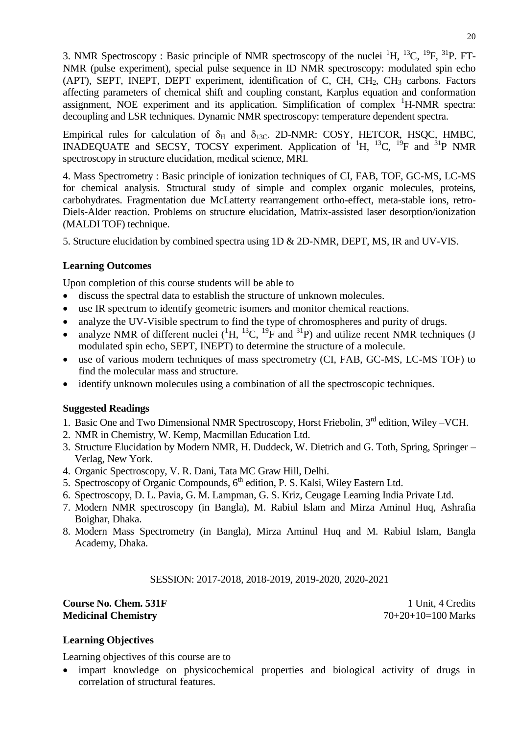3. NMR Spectroscopy : Basic principle of NMR spectroscopy of the nuclei  ${}^{1}H$ ,  ${}^{13}C$ ,  ${}^{19}F$ ,  ${}^{31}P$ . FT-NMR (pulse experiment), special pulse sequence in ID NMR spectroscopy: modulated spin echo (APT), SEPT, INEPT, DEPT experiment, identification of C, CH,  $CH<sub>2</sub>$ , CH<sub>3</sub> carbons. Factors affecting parameters of chemical shift and coupling constant, Karplus equation and conformation assignment, NOE experiment and its application. Simplification of complex  ${}^{1}$ H-NMR spectra: decoupling and LSR techniques. Dynamic NMR spectroscopy: temperature dependent spectra.

Empirical rules for calculation of  $\delta_H$  and  $\delta_{13C}$ . 2D-NMR: COSY, HETCOR, HSQC, HMBC, INADEQUATE and SECSY, TOCSY experiment. Application of <sup>1</sup>H, <sup>13</sup>C, <sup>19</sup>F and <sup>31</sup>P NMR spectroscopy in structure elucidation, medical science, MRI.

4. Mass Spectrometry : Basic principle of ionization techniques of CI, FAB, TOF, GC-MS, LC-MS for chemical analysis. Structural study of simple and complex organic molecules, proteins, carbohydrates. Fragmentation due McLatterty rearrangement ortho-effect, meta-stable ions, retro-Diels-Alder reaction. Problems on structure elucidation, Matrix-assisted laser desorption/ionization (MALDI TOF) technique.

5. Structure elucidation by combined spectra using 1D & 2D-NMR, DEPT, MS, IR and UV-VIS.

# **Learning Outcomes**

Upon completion of this course students will be able to

- discuss the spectral data to establish the structure of unknown molecules.
- use IR spectrum to identify geometric isomers and monitor chemical reactions.
- analyze the UV-Visible spectrum to find the type of chromospheres and purity of drugs.
- analyze NMR of different nuclei  $({}^{1}H, {}^{13}C, {}^{19}F$  and  ${}^{31}P)$  and utilize recent NMR techniques (J modulated spin echo, SEPT, INEPT) to determine the structure of a molecule.
- use of various modern techniques of mass spectrometry (CI, FAB, GC-MS, LC-MS TOF) to find the molecular mass and structure.
- identify unknown molecules using a combination of all the spectroscopic techniques.

# **Suggested Readings**

- 1. Basic One and Two Dimensional NMR Spectroscopy, Horst Friebolin, 3<sup>rd</sup> edition, Wiley –VCH.
- 2. NMR in Chemistry, W. Kemp, Macmillan Education Ltd.
- 3. Structure Elucidation by Modern NMR, H. Duddeck, W. Dietrich and G. Toth, Spring, Springer Verlag, New York.
- 4. Organic Spectroscopy, V. R. Dani, Tata MC Graw Hill, Delhi.
- 5. Spectroscopy of Organic Compounds, 6<sup>th</sup> edition, P. S. Kalsi, Wiley Eastern Ltd.
- 6. Spectroscopy, D. L. Pavia, G. M. Lampman, G. S. Kriz, Ceugage Learning India Private Ltd.
- 7. Modern NMR spectroscopy (in Bangla), M. Rabiul Islam and Mirza Aminul Huq, Ashrafia Boighar, Dhaka.
- 8. Modern Mass Spectrometry (in Bangla), Mirza Aminul Huq and M. Rabiul Islam, Bangla Academy, Dhaka.

SESSION: 2017-2018, 2018-2019, 2019-2020, 2020-2021

**Course No. Chem. 531F** 1 Unit, 4 Credits **Medicinal Chemistry** 70+20+10=100 Marks

# **Learning Objectives**

Learning objectives of this course are to

 impart knowledge on physicochemical properties and biological activity of drugs in correlation of structural features.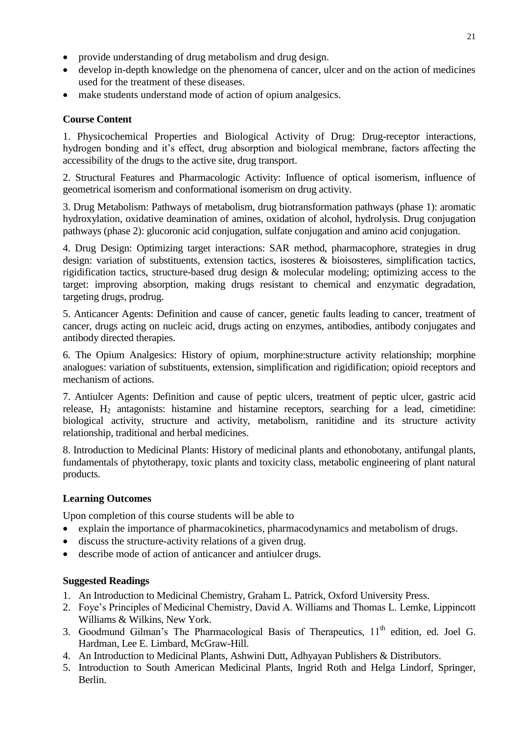- provide understanding of drug metabolism and drug design.
- develop in-depth knowledge on the phenomena of cancer, ulcer and on the action of medicines used for the treatment of these diseases.
- make students understand mode of action of opium analgesics.

# **Course Content**

1. Physicochemical Properties and Biological Activity of Drug: Drug-receptor interactions, hydrogen bonding and it's effect, drug absorption and biological membrane, factors affecting the accessibility of the drugs to the active site, drug transport.

2. Structural Features and Pharmacologic Activity: Influence of optical isomerism, influence of geometrical isomerism and conformational isomerism on drug activity.

3. Drug Metabolism: Pathways of metabolism, drug biotransformation pathways (phase 1): aromatic hydroxylation, oxidative deamination of amines, oxidation of alcohol, hydrolysis. Drug conjugation pathways (phase 2): glucoronic acid conjugation, sulfate conjugation and amino acid conjugation.

4. Drug Design: Optimizing target interactions: SAR method, pharmacophore, strategies in drug design: variation of substituents, extension tactics, isosteres & bioisosteres, simplification tactics, rigidification tactics, structure-based drug design  $\&$  molecular modeling; optimizing access to the target: improving absorption, making drugs resistant to chemical and enzymatic degradation, targeting drugs, prodrug.

5. Anticancer Agents: Definition and cause of cancer, genetic faults leading to cancer, treatment of cancer, drugs acting on nucleic acid, drugs acting on enzymes, antibodies, antibody conjugates and antibody directed therapies.

6. The Opium Analgesics: History of opium, morphine:structure activity relationship; morphine analogues: variation of substituents, extension, simplification and rigidification; opioid receptors and mechanism of actions.

7. Antiulcer Agents: Definition and cause of peptic ulcers, treatment of peptic ulcer, gastric acid release,  $H_2$  antagonists: histamine and histamine receptors, searching for a lead, cimetidine: biological activity, structure and activity, metabolism, ranitidine and its structure activity relationship, traditional and herbal medicines.

8. Introduction to Medicinal Plants: History of medicinal plants and ethonobotany, antifungal plants, fundamentals of phytotherapy, toxic plants and toxicity class, metabolic engineering of plant natural products.

# **Learning Outcomes**

Upon completion of this course students will be able to

- explain the importance of pharmacokinetics, pharmacodynamics and metabolism of drugs.
- discuss the structure-activity relations of a given drug.
- describe mode of action of anticancer and antiulcer drugs.

- 1. An Introduction to Medicinal Chemistry, Graham L. Patrick, Oxford University Press.
- 2. Foye"s Principles of Medicinal Chemistry, David A. Williams and Thomas L. Lemke, Lippincott Williams & Wilkins, New York.
- 3. Goodmund Gilman's The Pharmacological Basis of Therapeutics,  $11<sup>th</sup>$  edition, ed. Joel G. Hardman, Lee E. Limbard, McGraw-Hill.
- 4. An Introduction to Medicinal Plants, Ashwini Dutt, Adhyayan Publishers & Distributors.
- 5. Introduction to South American Medicinal Plants, Ingrid Roth and Helga Lindorf, Springer, Berlin.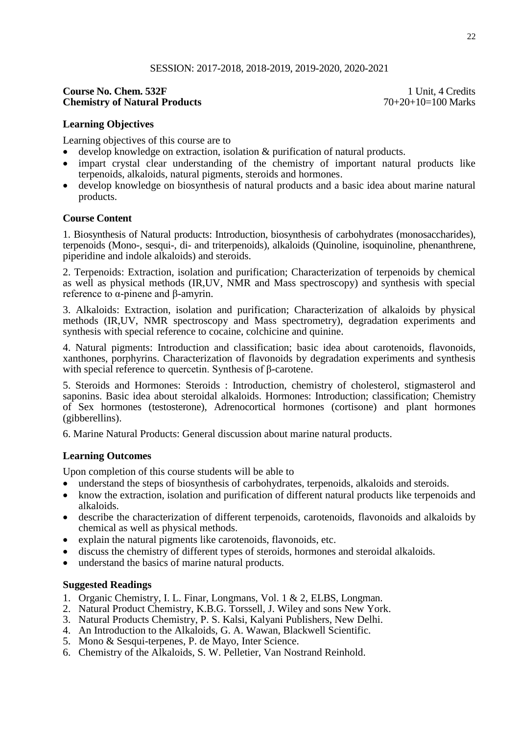#### SESSION: 2017-2018, 2018-2019, 2019-2020, 2020-2021

#### **Course No. Chem. 532F** 1 Unit, 4 Credits<br> **Chemistry of Natural Products** 2014 2014 2014 2015 2016 2017 **Chemistry of Natural Products**

#### **Learning Objectives**

Learning objectives of this course are to

- develop knowledge on extraction, isolation & purification of natural products.
- impart crystal clear understanding of the chemistry of important natural products like terpenoids, alkaloids, natural pigments, steroids and hormones.
- develop knowledge on biosynthesis of natural products and a basic idea about marine natural products.

#### **Course Content**

1. Biosynthesis of Natural products: Introduction, biosynthesis of carbohydrates (monosaccharides), terpenoids (Mono-, sesqui-, di- and triterpenoids), alkaloids (Quinoline, isoquinoline, phenanthrene, piperidine and indole alkaloids) and steroids.

2. Terpenoids: Extraction, isolation and purification; Characterization of terpenoids by chemical as well as physical methods (IR,UV, NMR and Mass spectroscopy) and synthesis with special reference to α-pinene and β-amyrin.

3. Alkaloids: Extraction, isolation and purification; Characterization of alkaloids by physical methods (IR,UV, NMR spectroscopy and Mass spectrometry), degradation experiments and synthesis with special reference to cocaine, colchicine and quinine.

4. Natural pigments: Introduction and classification; basic idea about carotenoids, flavonoids, xanthones, porphyrins. Characterization of flavonoids by degradation experiments and synthesis with special reference to quercetin. Synthesis of β-carotene.

5. Steroids and Hormones: Steroids : Introduction, chemistry of cholesterol, stigmasterol and saponins. Basic idea about steroidal alkaloids. Hormones: Introduction; classification; Chemistry of Sex hormones (testosterone), Adrenocortical hormones (cortisone) and plant hormones (gibberellins).

6. Marine Natural Products: General discussion about marine natural products.

#### **Learning Outcomes**

Upon completion of this course students will be able to

- understand the steps of biosynthesis of carbohydrates, terpenoids, alkaloids and steroids.
- know the extraction, isolation and purification of different natural products like terpenoids and alkaloids.
- describe the characterization of different terpenoids, carotenoids, flavonoids and alkaloids by chemical as well as physical methods.
- explain the natural pigments like carotenoids, flavonoids, etc.
- discuss the chemistry of different types of steroids, hormones and steroidal alkaloids.
- understand the basics of marine natural products.

- 1. Organic Chemistry, I. L. Finar, Longmans, Vol. 1 & 2, ELBS, Longman.
- 2. Natural Product Chemistry, K.B.G. Torssell, J. Wiley and sons New York.
- 3. Natural Products Chemistry, P. S. Kalsi, Kalyani Publishers, New Delhi.
- 4. An Introduction to the Alkaloids, G. A. Wawan, Blackwell Scientific.
- 5. Mono & Sesqui-terpenes, P. de Mayo, Inter Science.
- 6. Chemistry of the Alkaloids, S. W. Pelletier, Van Nostrand Reinhold.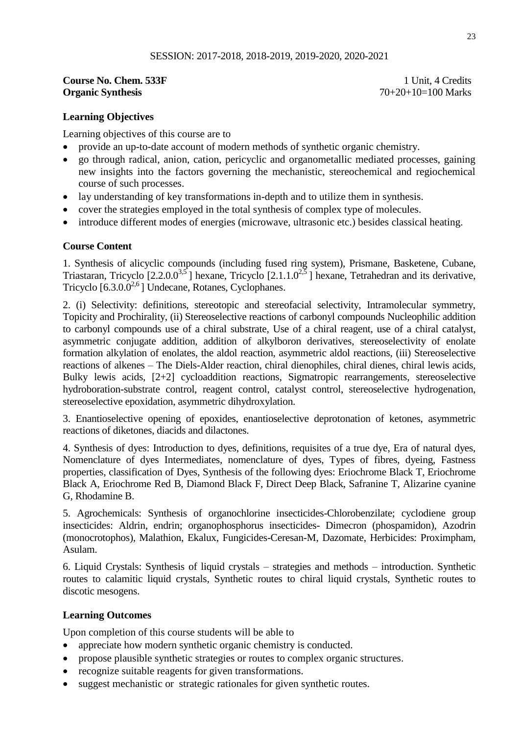## **Course No. Chem. 533F** 1 Unit, 4 Credits **Organic Synthesis** 70+20+10=100 Marks

## **Learning Objectives**

Learning objectives of this course are to

- provide an up-to-date account of modern methods of synthetic organic chemistry.
- go through radical, anion, cation, pericyclic and organometallic mediated processes, gaining new insights into the factors governing the mechanistic, stereochemical and regiochemical course of such processes.
- lay understanding of key transformations in-depth and to utilize them in synthesis.
- cover the strategies employed in the total synthesis of complex type of molecules.
- introduce different modes of energies (microwave, ultrasonic etc.) besides classical heating.

#### **Course Content**

1. Synthesis of alicyclic compounds (including fused ring system), Prismane, Basketene, Cubane, Triastaran, Tricyclo  $[2.2.0.0^{3.5}]$  hexane, Tricyclo  $[2.1.1.0^{2.5}]$  hexane, Tetrahedran and its derivative, Tricyclo  $[6.3.0.0^{2.6}]$  Undecane, Rotanes, Cyclophanes.

2. (i) Selectivity: definitions, stereotopic and stereofacial selectivity, Intramolecular symmetry, Topicity and Prochirality, (ii) Stereoselective reactions of carbonyl compounds Nucleophilic addition to carbonyl compounds use of a chiral substrate, Use of a chiral reagent, use of a chiral catalyst, asymmetric conjugate addition, addition of alkylboron derivatives, stereoselectivity of enolate formation alkylation of enolates, the aldol reaction, asymmetric aldol reactions, (iii) Stereoselective reactions of alkenes – The Diels-Alder reaction, chiral dienophiles, chiral dienes, chiral lewis acids, Bulky lewis acids, [2+2] cycloaddition reactions, Sigmatropic rearrangements, stereoselective hydroboration-substrate control, reagent control, catalyst control, stereoselective hydrogenation, stereoselective epoxidation, asymmetric dihydroxylation.

3. Enantioselective opening of epoxides, enantioselective deprotonation of ketones, asymmetric reactions of diketones, diacids and dilactones.

4. Synthesis of dyes: Introduction to dyes, definitions, requisites of a true dye, Era of natural dyes, Nomenclature of dyes Intermediates, nomenclature of dyes, Types of fibres, dyeing, Fastness properties, classification of Dyes, Synthesis of the following dyes: Eriochrome Black T, Eriochrome Black A, Eriochrome Red B, Diamond Black F, Direct Deep Black, Safranine T, Alizarine cyanine G, Rhodamine B.

5. Agrochemicals: Synthesis of organochlorine insecticides-Chlorobenzilate; cyclodiene group insecticides: Aldrin, endrin; organophosphorus insecticides- Dimecron (phospamidon), Azodrin (monocrotophos), Malathion, Ekalux, Fungicides-Ceresan-M, Dazomate, Herbicides: Proximpham, Asulam.

6. Liquid Crystals: Synthesis of liquid crystals – strategies and methods – introduction. Synthetic routes to calamitic liquid crystals, Synthetic routes to chiral liquid crystals, Synthetic routes to discotic mesogens.

#### **Learning Outcomes**

Upon completion of this course students will be able to

- appreciate how modern synthetic organic chemistry is conducted.
- propose plausible synthetic strategies or routes to complex organic structures.
- recognize suitable reagents for given transformations.
- suggest mechanistic or strategic rationales for given synthetic routes.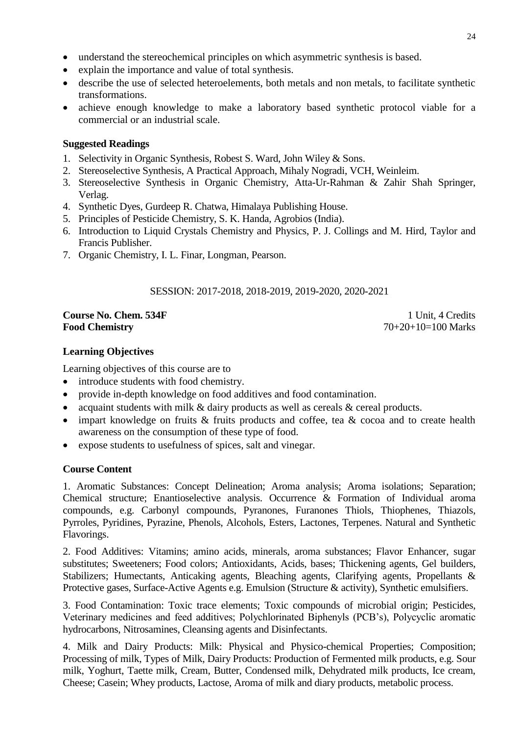- understand the stereochemical principles on which asymmetric synthesis is based.
- explain the importance and value of total synthesis.
- describe the use of selected heteroelements, both metals and non metals, to facilitate synthetic transformations.
- achieve enough knowledge to make a laboratory based synthetic protocol viable for a commercial or an industrial scale.

#### **Suggested Readings**

- 1. Selectivity in Organic Synthesis, Robest S. Ward, John Wiley & Sons.
- 2. Stereoselective Synthesis, A Practical Approach, Mihaly Nogradi, VCH, Weinleim.
- 3. Stereoselective Synthesis in Organic Chemistry, Atta-Ur-Rahman & Zahir Shah Springer, Verlag.
- 4. Synthetic Dyes, Gurdeep R. Chatwa, Himalaya Publishing House.
- 5. Principles of Pesticide Chemistry, S. K. Handa, Agrobios (India).
- 6. Introduction to Liquid Crystals Chemistry and Physics, P. J. Collings and M. Hird, Taylor and Francis Publisher.
- 7. Organic Chemistry, I. L. Finar, Longman, Pearson.

## SESSION: 2017-2018, 2018-2019, 2019-2020, 2020-2021

## **Course No. Chem. 534F** 1 Unit, 4 Credits **Food Chemistry** 70+20+10=100 Marks

# **Learning Objectives**

Learning objectives of this course are to

- introduce students with food chemistry.
- provide in-depth knowledge on food additives and food contamination.
- acquaint students with milk  $\&$  dairy products as well as cereals  $\&$  cereal products.
- impart knowledge on fruits & fruits products and coffee, tea & cocoa and to create health awareness on the consumption of these type of food.
- expose students to usefulness of spices, salt and vinegar.

#### **Course Content**

1. Aromatic Substances: Concept Delineation; Aroma analysis; Aroma isolations; Separation; Chemical structure; Enantioselective analysis. Occurrence & Formation of Individual aroma compounds, e.g. Carbonyl compounds, Pyranones, Furanones Thiols, Thiophenes, Thiazols, Pyrroles, Pyridines, Pyrazine, Phenols, Alcohols, Esters, Lactones, Terpenes. Natural and Synthetic Flavorings.

2. Food Additives: Vitamins; amino acids, minerals, aroma substances; Flavor Enhancer, sugar substitutes; Sweeteners; Food colors; Antioxidants, Acids, bases; Thickening agents, Gel builders, Stabilizers; Humectants, Anticaking agents, Bleaching agents, Clarifying agents, Propellants & Protective gases, Surface-Active Agents e.g. Emulsion (Structure & activity), Synthetic emulsifiers.

3. Food Contamination: Toxic trace elements; Toxic compounds of microbial origin; Pesticides, Veterinary medicines and feed additives; Polychlorinated Biphenyls (PCB"s), Polycyclic aromatic hydrocarbons, Nitrosamines, Cleansing agents and Disinfectants.

4. Milk and Dairy Products: Milk: Physical and Physico-chemical Properties; Composition; Processing of milk, Types of Milk, Dairy Products: Production of Fermented milk products, e.g. Sour milk, Yoghurt, Taette milk, Cream, Butter, Condensed milk, Dehydrated milk products, Ice cream, Cheese; Casein; Whey products, Lactose, Aroma of milk and diary products, metabolic process.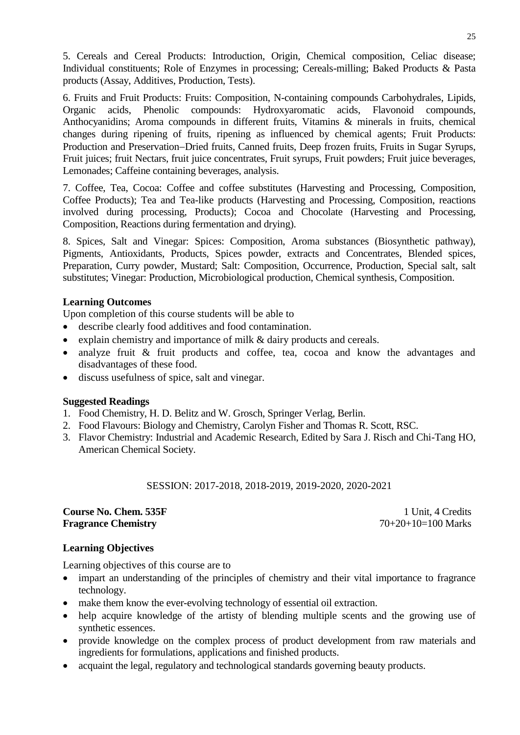5. Cereals and Cereal Products: Introduction, Origin, Chemical composition, Celiac disease; Individual constituents; Role of Enzymes in processing; Cereals-milling; Baked Products & Pasta products (Assay, Additives, Production, Tests).

6. Fruits and Fruit Products: Fruits: Composition, N-containing compounds Carbohydrales, Lipids, Organic acids, Phenolic compounds: Hydroxyaromatic acids, Flavonoid compounds, Anthocyanidins; Aroma compounds in different fruits, Vitamins & minerals in fruits, chemical changes during ripening of fruits, ripening as influenced by chemical agents; Fruit Products: Production and Preservation–Dried fruits, Canned fruits, Deep frozen fruits, Fruits in Sugar Syrups, Fruit juices; fruit Nectars, fruit juice concentrates, Fruit syrups, Fruit powders; Fruit juice beverages, Lemonades; Caffeine containing beverages, analysis.

7. Coffee, Tea, Cocoa: Coffee and coffee substitutes (Harvesting and Processing, Composition, Coffee Products); Tea and Tea-like products (Harvesting and Processing, Composition, reactions involved during processing, Products); Cocoa and Chocolate (Harvesting and Processing, Composition, Reactions during fermentation and drying).

8. Spices, Salt and Vinegar: Spices: Composition, Aroma substances (Biosynthetic pathway), Pigments, Antioxidants, Products, Spices powder, extracts and Concentrates, Blended spices, Preparation, Curry powder, Mustard; Salt: Composition, Occurrence, Production, Special salt, salt substitutes; Vinegar: Production, Microbiological production, Chemical synthesis, Composition.

#### **Learning Outcomes**

Upon completion of this course students will be able to

- describe clearly food additives and food contamination.
- explain chemistry and importance of milk & dairy products and cereals.
- analyze fruit & fruit products and coffee, tea, cocoa and know the advantages and disadvantages of these food.
- discuss usefulness of spice, salt and vinegar.

#### **Suggested Readings**

- 1. Food Chemistry, H. D. Belitz and W. Grosch, Springer Verlag, Berlin.
- 2. Food Flavours: Biology and Chemistry, Carolyn Fisher and Thomas R. Scott, RSC.
- 3. Flavor Chemistry: Industrial and Academic Research, Edited by Sara J. Risch and Chi-Tang HO, American Chemical Society.

#### SESSION: 2017-2018, 2018-2019, 2019-2020, 2020-2021

#### **Course No. Chem. 535F** 1 Unit, 4 Credits **Fragrance Chemistry** 70+20+10=100 Marks

# **Learning Objectives**

Learning objectives of this course are to

- impart an understanding of the principles of chemistry and their vital importance to fragrance technology.
- make them know the ever-evolving technology of essential oil extraction.
- help acquire knowledge of the artisty of blending multiple scents and the growing use of synthetic essences.
- provide knowledge on the complex process of product development from raw materials and ingredients for formulations, applications and finished products.
- acquaint the legal, regulatory and technological standards governing beauty products.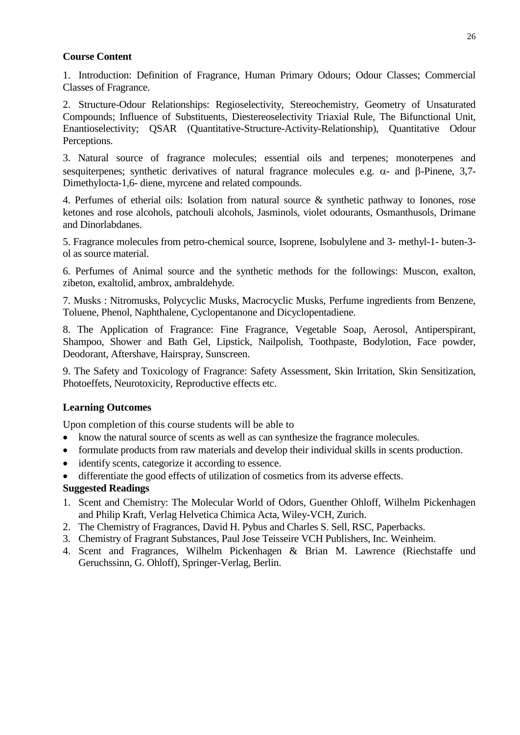#### **Course Content**

1. Introduction: Definition of Fragrance, Human Primary Odours; Odour Classes; Commercial Classes of Fragrance.

2. Structure-Odour Relationships: Regioselectivity, Stereochemistry, Geometry of Unsaturated Compounds; Influence of Substituents, Diestereoselectivity Triaxial Rule, The Bifunctional Unit, Enantioselectivity; QSAR (Quantitative-Structure-Activity-Relationship), Quantitative Odour Perceptions.

3. Natural source of fragrance molecules; essential oils and terpenes; monoterpenes and sesquiterpenes; synthetic derivatives of natural fragrance molecules e.g.  $\alpha$ - and  $\beta$ -Pinene, 3,7-Dimethylocta-1,6- diene, myrcene and related compounds.

4. Perfumes of etherial oils: Isolation from natural source & synthetic pathway to Ionones, rose ketones and rose alcohols, patchouli alcohols, Jasminols, violet odourants, Osmanthusols, Drimane and Dinorlabdanes.

5. Fragrance molecules from petro-chemical source, Isoprene, Isobulylene and 3- methyl-1- buten-3 ol as source material.

6. Perfumes of Animal source and the synthetic methods for the followings: Muscon, exalton, zibeton, exaltolid, ambrox, ambraldehyde.

7. Musks : Nitromusks, Polycyclic Musks, Macrocyclic Musks, Perfume ingredients from Benzene, Toluene, Phenol, Naphthalene, Cyclopentanone and Dicyclopentadiene.

8. The Application of Fragrance: Fine Fragrance, Vegetable Soap, Aerosol, Antiperspirant, Shampoo, Shower and Bath Gel, Lipstick, Nailpolish, Toothpaste, Bodylotion, Face powder, Deodorant, Aftershave, Hairspray, Sunscreen.

9. The Safety and Toxicology of Fragrance: Safety Assessment, Skin Irritation, Skin Sensitization, Photoeffets, Neurotoxicity, Reproductive effects etc.

# **Learning Outcomes**

Upon completion of this course students will be able to

- know the natural source of scents as well as can synthesize the fragrance molecules.
- formulate products from raw materials and develop their individual skills in scents production.
- identify scents, categorize it according to essence.
- differentiate the good effects of utilization of cosmetics from its adverse effects.

- 1. Scent and Chemistry: The Molecular World of Odors, Guenther Ohloff, Wilhelm Pickenhagen and Philip Kraft, Verlag Helvetica Chimica Acta, Wiley-VCH, Zurich.
- 2. The Chemistry of Fragrances, David H. Pybus and Charles S. Sell, RSC, Paperbacks.
- 3. Chemistry of Fragrant Substances, Paul Jose Teisseire VCH Publishers, Inc. Weinheim.
- 4. Scent and Fragrances, Wilhelm Pickenhagen & Brian M. Lawrence (Riechstaffe und Geruchssinn, G. Ohloff), Springer-Verlag, Berlin.